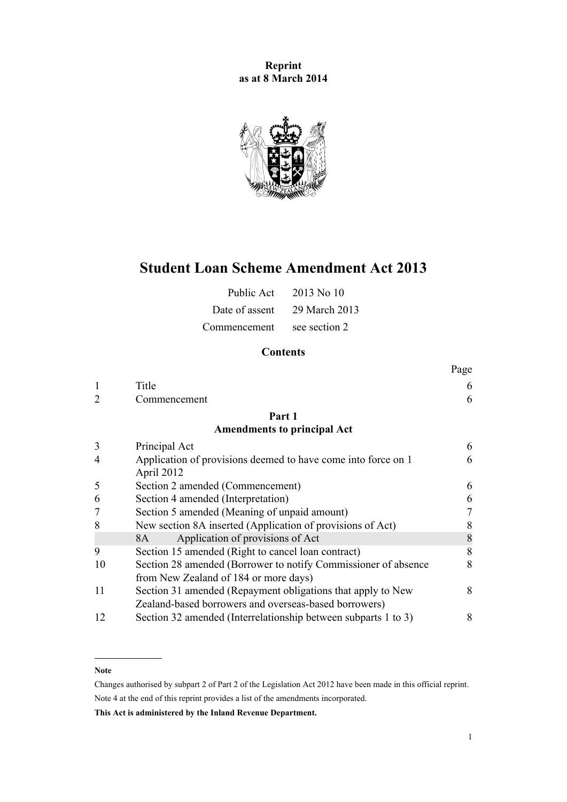**Reprint as at 8 March 2014**



# **Student Loan Scheme Amendment Act 2013**

| Public Act     | $2013$ No 10  |
|----------------|---------------|
| Date of assent | 29 March 2013 |
| Commencement   | see section 2 |

# **Contents**

|    |                                                                | Page |
|----|----------------------------------------------------------------|------|
|    | Title                                                          | 6    |
|    | Commencement                                                   | 6    |
|    | Part 1                                                         |      |
|    | <b>Amendments to principal Act</b>                             |      |
| 3  | Principal Act                                                  | 6    |
| 4  | Application of provisions deemed to have come into force on 1  | 6    |
|    | April 2012                                                     |      |
| 5  | Section 2 amended (Commencement)                               | 6    |
| 6  | Section 4 amended (Interpretation)                             | 6    |
|    | Section 5 amended (Meaning of unpaid amount)                   | 7    |
| 8  | New section 8A inserted (Application of provisions of Act)     | 8    |
|    | Application of provisions of Act<br>8A                         | 8    |
| 9  | Section 15 amended (Right to cancel loan contract)             | 8    |
| 10 | Section 28 amended (Borrower to notify Commissioner of absence | 8    |
|    | from New Zealand of 184 or more days)                          |      |
| 11 | Section 31 amended (Repayment obligations that apply to New    | 8    |
|    | Zealand-based borrowers and overseas-based borrowers)          |      |
| 12 | Section 32 amended (Interrelationship between subparts 1 to 3) | 8    |

#### **Note**

Changes authorised by [subpart 2](http://prd-lgnz-nlb.prd.pco.net.nz/pdflink.aspx?id=DLM2998524) of Part 2 of the Legislation Act 2012 have been made in this official reprint. Note 4 at the end of this reprint provides a list of the amendments incorporated.

**This Act is administered by the Inland Revenue Department.**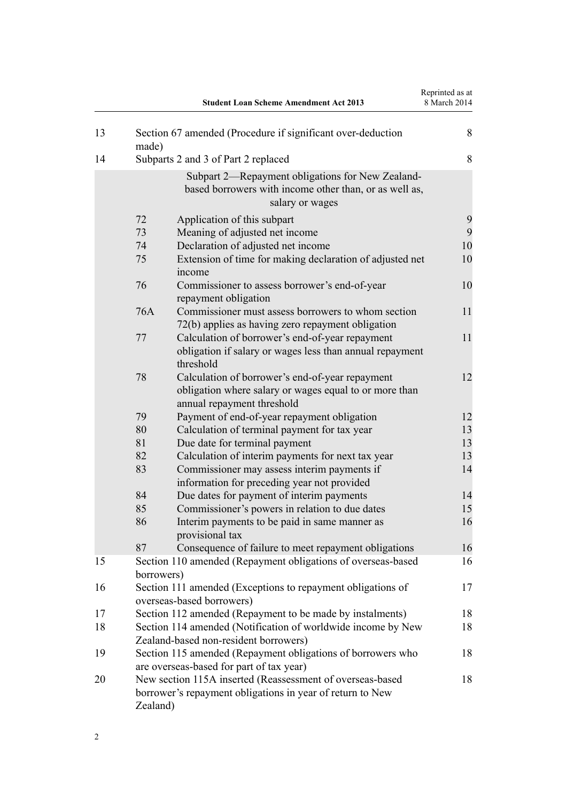|    |            | <b>Student Loan Scheme Amendment Act 2013</b>                                                                                           | Reprinted as at<br>8 March 2014 |
|----|------------|-----------------------------------------------------------------------------------------------------------------------------------------|---------------------------------|
| 13 | made)      | Section 67 amended (Procedure if significant over-deduction                                                                             | 8                               |
| 14 |            | Subparts 2 and 3 of Part 2 replaced                                                                                                     | 8                               |
|    |            | Subpart 2—Repayment obligations for New Zealand-<br>based borrowers with income other than, or as well as,<br>salary or wages           |                                 |
|    | 72         | Application of this subpart                                                                                                             | 9                               |
|    | 73         | Meaning of adjusted net income                                                                                                          | 9                               |
|    | 74         | Declaration of adjusted net income                                                                                                      | 10                              |
|    | 75         | Extension of time for making declaration of adjusted net<br>income                                                                      | 10                              |
|    | 76         | Commissioner to assess borrower's end-of-year<br>repayment obligation                                                                   | 10                              |
|    | 76A        | Commissioner must assess borrowers to whom section<br>72(b) applies as having zero repayment obligation                                 | 11                              |
|    | 77         | Calculation of borrower's end-of-year repayment<br>obligation if salary or wages less than annual repayment<br>threshold                | 11                              |
|    | 78         | Calculation of borrower's end-of-year repayment<br>obligation where salary or wages equal to or more than<br>annual repayment threshold | 12                              |
|    | 79         | Payment of end-of-year repayment obligation                                                                                             | 12                              |
|    | 80         | Calculation of terminal payment for tax year                                                                                            | 13                              |
|    | 81         | Due date for terminal payment                                                                                                           | 13                              |
|    | 82         | Calculation of interim payments for next tax year                                                                                       | 13                              |
|    | 83         | Commissioner may assess interim payments if<br>information for preceding year not provided                                              | 14                              |
|    | 84         | Due dates for payment of interim payments                                                                                               | 14                              |
|    | 85         | Commissioner's powers in relation to due dates                                                                                          | 15                              |
|    | 86         | Interim payments to be paid in same manner as<br>provisional tax                                                                        | 16                              |
|    | 87         | Consequence of failure to meet repayment obligations                                                                                    | 16                              |
| 15 | borrowers) | Section 110 amended (Repayment obligations of overseas-based                                                                            | 16                              |
| 16 |            | Section 111 amended (Exceptions to repayment obligations of<br>overseas-based borrowers)                                                | 17                              |
| 17 |            | Section 112 amended (Repayment to be made by instalments)                                                                               | 18                              |
| 18 |            | Section 114 amended (Notification of worldwide income by New<br>Zealand-based non-resident borrowers)                                   | 18                              |
| 19 |            | Section 115 amended (Repayment obligations of borrowers who<br>are overseas-based for part of tax year)                                 | 18                              |
| 20 | Zealand)   | New section 115A inserted (Reassessment of overseas-based<br>borrower's repayment obligations in year of return to New                  | 18                              |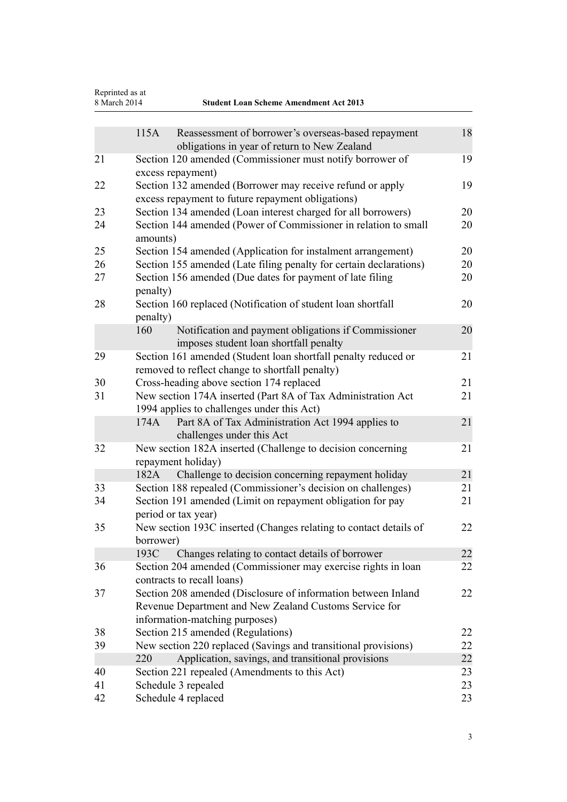| Reprinted as at<br>8 March 2014<br><b>Student Loan Scheme Amendment Act 2013</b> |                     |                                                                                                                  |    |
|----------------------------------------------------------------------------------|---------------------|------------------------------------------------------------------------------------------------------------------|----|
|                                                                                  | 115A                |                                                                                                                  | 18 |
|                                                                                  |                     | Reassessment of borrower's overseas-based repayment<br>obligations in year of return to New Zealand              |    |
| 21                                                                               |                     | Section 120 amended (Commissioner must notify borrower of                                                        | 19 |
|                                                                                  | excess repayment)   |                                                                                                                  |    |
| 22                                                                               |                     | Section 132 amended (Borrower may receive refund or apply                                                        | 19 |
|                                                                                  |                     | excess repayment to future repayment obligations)                                                                |    |
| 23                                                                               |                     | Section 134 amended (Loan interest charged for all borrowers)                                                    | 20 |
| 24                                                                               | amounts)            | Section 144 amended (Power of Commissioner in relation to small                                                  | 20 |
| 25                                                                               |                     | Section 154 amended (Application for instalment arrangement)                                                     | 20 |
| 26                                                                               |                     | Section 155 amended (Late filing penalty for certain declarations)                                               | 20 |
| 27                                                                               | penalty)            | Section 156 amended (Due dates for payment of late filing                                                        | 20 |
| 28                                                                               | penalty)            | Section 160 replaced (Notification of student loan shortfall                                                     | 20 |
|                                                                                  | 160                 | Notification and payment obligations if Commissioner                                                             | 20 |
|                                                                                  |                     | imposes student loan shortfall penalty                                                                           |    |
| 29                                                                               |                     | Section 161 amended (Student loan shortfall penalty reduced or                                                   | 21 |
|                                                                                  |                     | removed to reflect change to shortfall penalty)                                                                  |    |
| 30                                                                               |                     | Cross-heading above section 174 replaced                                                                         | 21 |
| 31                                                                               |                     | New section 174A inserted (Part 8A of Tax Administration Act                                                     | 21 |
|                                                                                  |                     | 1994 applies to challenges under this Act)                                                                       |    |
|                                                                                  | 174A                | Part 8A of Tax Administration Act 1994 applies to                                                                | 21 |
|                                                                                  |                     | challenges under this Act                                                                                        |    |
| 32                                                                               |                     | New section 182A inserted (Challenge to decision concerning                                                      | 21 |
|                                                                                  | repayment holiday)  |                                                                                                                  |    |
|                                                                                  | 182A                | Challenge to decision concerning repayment holiday                                                               | 21 |
| 33                                                                               |                     | Section 188 repealed (Commissioner's decision on challenges)                                                     | 21 |
| 34                                                                               |                     | Section 191 amended (Limit on repayment obligation for pay                                                       | 21 |
|                                                                                  | period or tax year) |                                                                                                                  |    |
| 35                                                                               |                     | New section 193C inserted (Changes relating to contact details of                                                | 22 |
|                                                                                  | borrower)<br>193C   |                                                                                                                  | 22 |
| 36                                                                               |                     | Changes relating to contact details of borrower<br>Section 204 amended (Commissioner may exercise rights in loan | 22 |
|                                                                                  |                     | contracts to recall loans)                                                                                       |    |
| 37                                                                               |                     | Section 208 amended (Disclosure of information between Inland                                                    | 22 |
|                                                                                  |                     | Revenue Department and New Zealand Customs Service for                                                           |    |
|                                                                                  |                     | information-matching purposes)                                                                                   |    |
| 38                                                                               |                     | Section 215 amended (Regulations)                                                                                | 22 |
| 39                                                                               |                     | New section 220 replaced (Savings and transitional provisions)                                                   | 22 |
|                                                                                  | 220                 | Application, savings, and transitional provisions                                                                | 22 |
| 40                                                                               |                     | Section 221 repealed (Amendments to this Act)                                                                    | 23 |
| 41                                                                               |                     | Schedule 3 repealed                                                                                              | 23 |
| 42                                                                               | Schedule 4 replaced |                                                                                                                  | 23 |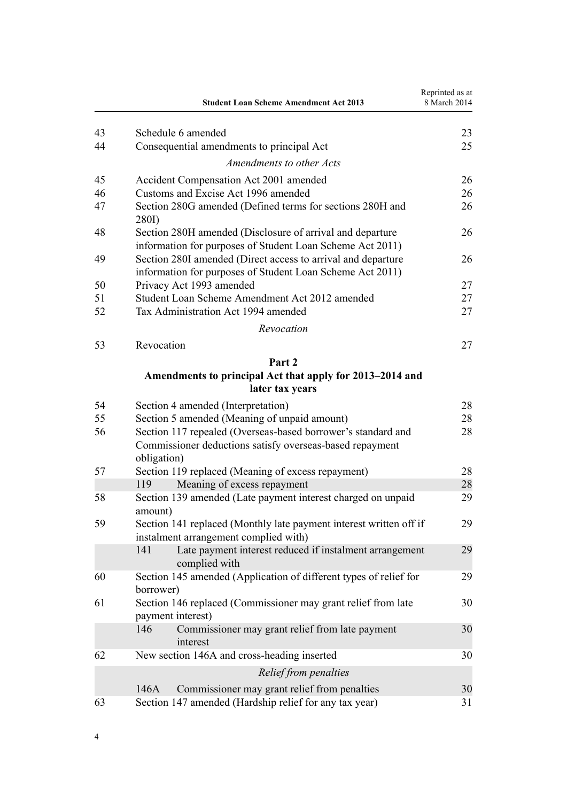|    | <b>Student Loan Scheme Amendment Act 2013</b>                                                                             | Reprinted as at<br>8 March 2014 |
|----|---------------------------------------------------------------------------------------------------------------------------|---------------------------------|
| 43 | Schedule 6 amended                                                                                                        | 23                              |
| 44 | Consequential amendments to principal Act                                                                                 | 25                              |
|    | Amendments to other Acts                                                                                                  |                                 |
| 45 | Accident Compensation Act 2001 amended                                                                                    | 26                              |
| 46 | Customs and Excise Act 1996 amended                                                                                       | 26                              |
| 47 | Section 280G amended (Defined terms for sections 280H and<br>280I)                                                        | 26                              |
| 48 | Section 280H amended (Disclosure of arrival and departure<br>information for purposes of Student Loan Scheme Act 2011)    | 26                              |
| 49 | Section 280I amended (Direct access to arrival and departure<br>information for purposes of Student Loan Scheme Act 2011) | 26                              |
| 50 | Privacy Act 1993 amended                                                                                                  | 27                              |
| 51 | Student Loan Scheme Amendment Act 2012 amended                                                                            | 27                              |
| 52 | Tax Administration Act 1994 amended                                                                                       | 27                              |
|    | Revocation                                                                                                                |                                 |
| 53 | Revocation                                                                                                                | 27                              |
|    | Part 2                                                                                                                    |                                 |
|    | Amendments to principal Act that apply for 2013–2014 and                                                                  |                                 |
|    | later tax years                                                                                                           |                                 |
| 54 | Section 4 amended (Interpretation)                                                                                        | 28                              |
| 55 | Section 5 amended (Meaning of unpaid amount)                                                                              | 28                              |
| 56 | Section 117 repealed (Overseas-based borrower's standard and                                                              | 28                              |
|    | Commissioner deductions satisfy overseas-based repayment<br>obligation)                                                   |                                 |
| 57 | Section 119 replaced (Meaning of excess repayment)                                                                        | 28                              |
|    | 119<br>Meaning of excess repayment                                                                                        | 28                              |
| 58 | Section 139 amended (Late payment interest charged on unpaid<br>amount)                                                   | 29                              |
| 59 | Section 141 replaced (Monthly late payment interest written off if<br>instalment arrangement complied with)               | 29                              |
|    | Late payment interest reduced if instalment arrangement<br>141<br>complied with                                           | 29                              |
| 60 | Section 145 amended (Application of different types of relief for<br>borrower)                                            | 29                              |
| 61 | Section 146 replaced (Commissioner may grant relief from late<br>payment interest)                                        | 30                              |
|    | 146<br>Commissioner may grant relief from late payment<br>interest                                                        | 30                              |
| 62 | New section 146A and cross-heading inserted                                                                               | 30                              |
|    | Relief from penalties                                                                                                     |                                 |
|    | Commissioner may grant relief from penalties<br>146A                                                                      | 30                              |
| 63 | Section 147 amended (Hardship relief for any tax year)                                                                    | 31                              |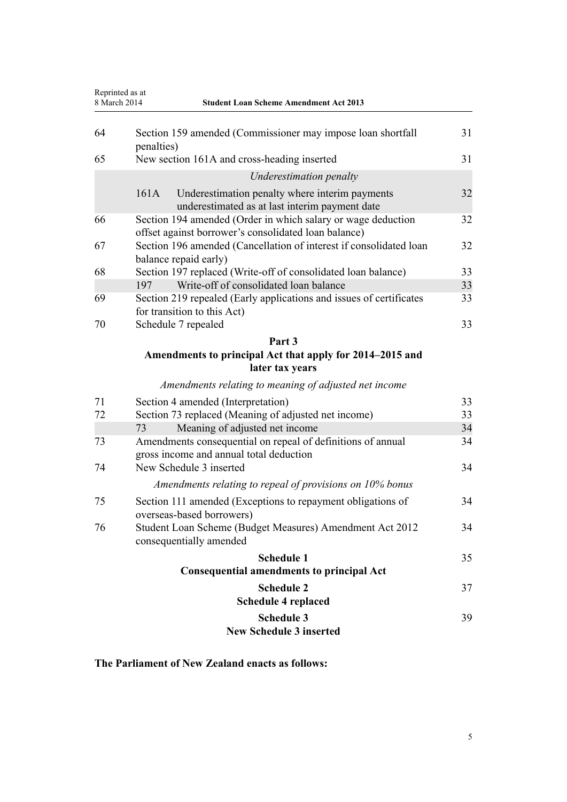| Reprinted as at<br>8 March 2014<br><b>Student Loan Scheme Amendment Act 2013</b> |            |                                                                                                                      |    |
|----------------------------------------------------------------------------------|------------|----------------------------------------------------------------------------------------------------------------------|----|
| 64                                                                               | penalties) | Section 159 amended (Commissioner may impose loan shortfall                                                          | 31 |
| 65                                                                               |            | New section 161A and cross-heading inserted                                                                          | 31 |
|                                                                                  |            | Underestimation penalty                                                                                              |    |
|                                                                                  | 161A       | Underestimation penalty where interim payments<br>underestimated as at last interim payment date                     | 32 |
| 66                                                                               |            | Section 194 amended (Order in which salary or wage deduction<br>offset against borrower's consolidated loan balance) | 32 |
| 67                                                                               |            | Section 196 amended (Cancellation of interest if consolidated loan<br>balance repaid early)                          | 32 |
| 68                                                                               |            | Section 197 replaced (Write-off of consolidated loan balance)                                                        | 33 |
|                                                                                  | 197        | Write-off of consolidated loan balance                                                                               | 33 |
| 69                                                                               |            | Section 219 repealed (Early applications and issues of certificates<br>for transition to this Act)                   | 33 |
| 70                                                                               |            | Schedule 7 repealed                                                                                                  | 33 |
|                                                                                  |            | Part 3                                                                                                               |    |
|                                                                                  |            | Amendments to principal Act that apply for 2014–2015 and<br>later tax years                                          |    |
|                                                                                  |            | Amendments relating to meaning of adjusted net income                                                                |    |
| 71                                                                               |            | Section 4 amended (Interpretation)                                                                                   | 33 |
| 72                                                                               |            | Section 73 replaced (Meaning of adjusted net income)                                                                 | 33 |
|                                                                                  | 73         | Meaning of adjusted net income                                                                                       | 34 |
| 73                                                                               |            | Amendments consequential on repeal of definitions of annual<br>gross income and annual total deduction               | 34 |
| 74                                                                               |            | New Schedule 3 inserted                                                                                              | 34 |
|                                                                                  |            | Amendments relating to repeal of provisions on 10% bonus                                                             |    |
| 75                                                                               |            | Section 111 amended (Exceptions to repayment obligations of<br>overseas-based borrowers)                             | 34 |
| 76                                                                               |            | Student Loan Scheme (Budget Measures) Amendment Act 2012<br>consequentially amended                                  | 34 |
|                                                                                  |            | <b>Schedule 1</b>                                                                                                    | 35 |
|                                                                                  |            | <b>Consequential amendments to principal Act</b>                                                                     |    |
|                                                                                  |            | <b>Schedule 2</b><br><b>Schedule 4 replaced</b>                                                                      | 37 |
|                                                                                  |            | <b>Schedule 3</b><br><b>New Schedule 3 inserted</b>                                                                  | 39 |

**The Parliament of New Zealand enacts as follows:**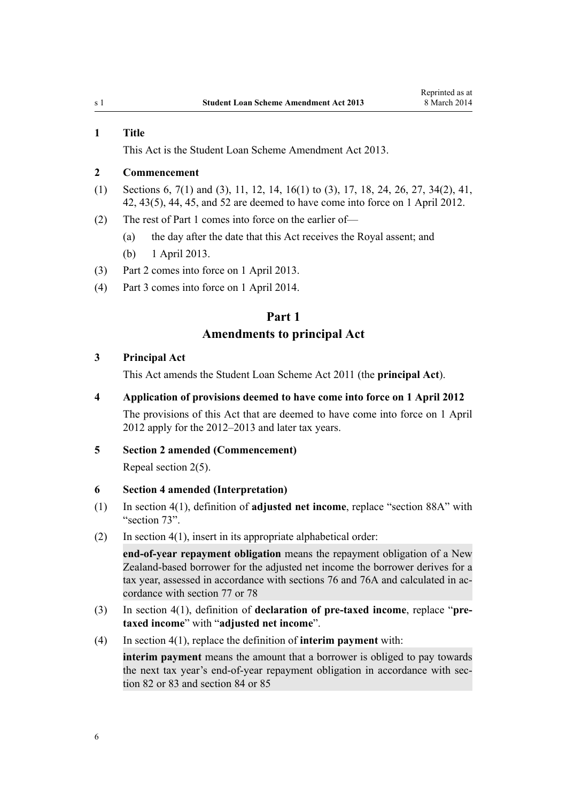#### <span id="page-5-0"></span>**1 Title**

This Act is the Student Loan Scheme Amendment Act 2013.

# **2 Commencement**

- (1) Sections 6, [7\(1\) and \(3\)](#page-6-0), [11,](#page-7-0) [12,](#page-7-0) [14,](#page-7-0) [16\(1\) to \(3\)](#page-16-0), [17](#page-17-0), [18](#page-17-0), [24](#page-19-0), [26](#page-19-0), [27,](#page-19-0) [34\(2\)](#page-20-0), [41](#page-22-0), [42, 43\(5\)](#page-22-0), [44,](#page-24-0) [45,](#page-25-0) and [52](#page-26-0) are deemed to have come into force on 1 April 2012.
- (2) The rest of Part 1 comes into force on the earlier of—
	- (a) the day after the date that this Act receives the Royal assent; and
	- (b) 1 April 2013.
- (3) [Part 2](#page-27-0) comes into force on 1 April 2013.
- (4) [Part 3](#page-32-0) comes into force on 1 April 2014.

# **Part 1 Amendments to principal Act**

#### **3 Principal Act**

This Act amends the [Student Loan Scheme Act 2011](http://prd-lgnz-nlb.prd.pco.net.nz/pdflink.aspx?id=DLM3179903) (the **principal Act**).

#### **4 Application of provisions deemed to have come into force on 1 April 2012**

The provisions of this Act that are deemed to have come into force on 1 April 2012 apply for the 2012–2013 and later tax years.

### **5 Section 2 amended (Commencement)**

Repeal [section 2\(5\).](http://prd-lgnz-nlb.prd.pco.net.nz/pdflink.aspx?id=DLM3179932)

### **6 Section 4 amended (Interpretation)**

- (1) In [section 4\(1\)](http://prd-lgnz-nlb.prd.pco.net.nz/pdflink.aspx?id=DLM3179936), definition of **adjusted net income**, replace "section 88A" with "section 73".
- (2) In [section 4\(1\)](http://prd-lgnz-nlb.prd.pco.net.nz/pdflink.aspx?id=DLM3179936), insert in its appropriate alphabetical order:

**end-of-year repayment obligation** means the repayment obligation of a New Zealand-based borrower for the adjusted net income the borrower derives for a tax year, assessed in accordance with sections 76 and 76A and calculated in accordance with section 77 or 78

- (3) In [section 4\(1\)](http://prd-lgnz-nlb.prd.pco.net.nz/pdflink.aspx?id=DLM3179936), definition of **declaration of pre-taxed income**, replace "**pretaxed income**" with "**adjusted net income**".
- (4) In [section 4\(1\)](http://prd-lgnz-nlb.prd.pco.net.nz/pdflink.aspx?id=DLM3179936), replace the definition of **interim payment** with:

**interim payment** means the amount that a borrower is obliged to pay towards the next tax year's end-of-year repayment obligation in accordance with section 82 or 83 and section 84 or 85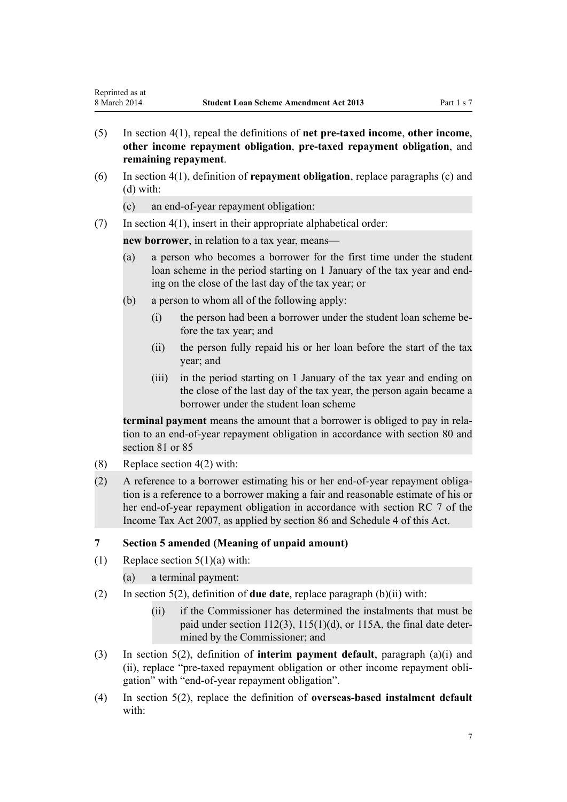- <span id="page-6-0"></span>(5) In [section 4\(1\)](http://prd-lgnz-nlb.prd.pco.net.nz/pdflink.aspx?id=DLM3179936), repeal the definitions of **net pre-taxed income**, **other income**, **other income repayment obligation**, **pre-taxed repayment obligation**, and **remaining repayment**.
- (6) In [section 4\(1\),](http://prd-lgnz-nlb.prd.pco.net.nz/pdflink.aspx?id=DLM3179936) definition of **repayment obligation**, replace paragraphs (c) and (d) with:
	- (c) an end-of-year repayment obligation:
- (7) In [section 4\(1\)](http://prd-lgnz-nlb.prd.pco.net.nz/pdflink.aspx?id=DLM3179936), insert in their appropriate alphabetical order:

**new borrower**, in relation to a tax year, means—

- (a) a person who becomes a borrower for the first time under the student loan scheme in the period starting on 1 January of the tax year and ending on the close of the last day of the tax year; or
- (b) a person to whom all of the following apply:
	- (i) the person had been a borrower under the student loan scheme before the tax year; and
	- (ii) the person fully repaid his or her loan before the start of the tax year; and
	- (iii) in the period starting on 1 January of the tax year and ending on the close of the last day of the tax year, the person again became a borrower under the student loan scheme

**terminal payment** means the amount that a borrower is obliged to pay in relation to an end-of-year repayment obligation in accordance with section 80 and section 81 or 85

- (8) Replace [section 4\(2\)](http://prd-lgnz-nlb.prd.pco.net.nz/pdflink.aspx?id=DLM3179936) with:
- (2) A reference to a borrower estimating his or her end-of-year repayment obligation is a reference to a borrower making a fair and reasonable estimate of his or her end-of-year repayment obligation in accordance with section RC 7 of the Income Tax Act 2007, as applied by section 86 and Schedule 4 of this Act.

#### **7 Section 5 amended (Meaning of unpaid amount)**

(1) Replace section  $5(1)(a)$  with:

(a) a terminal payment:

- (2) In [section 5\(2\)](http://prd-lgnz-nlb.prd.pco.net.nz/pdflink.aspx?id=DLM3885511), definition of **due date**, replace paragraph (b)(ii) with:
	- (ii) if the Commissioner has determined the instalments that must be paid under section 112(3), 115(1)(d), or 115A, the final date determined by the Commissioner; and
- (3) In [section 5\(2\),](http://prd-lgnz-nlb.prd.pco.net.nz/pdflink.aspx?id=DLM3885511) definition of **interim payment default**, paragraph (a)(i) and (ii), replace "pre-taxed repayment obligation or other income repayment obligation" with "end-of-year repayment obligation".
- (4) In [section 5\(2\),](http://prd-lgnz-nlb.prd.pco.net.nz/pdflink.aspx?id=DLM3885511) replace the definition of **overseas-based instalment default** with: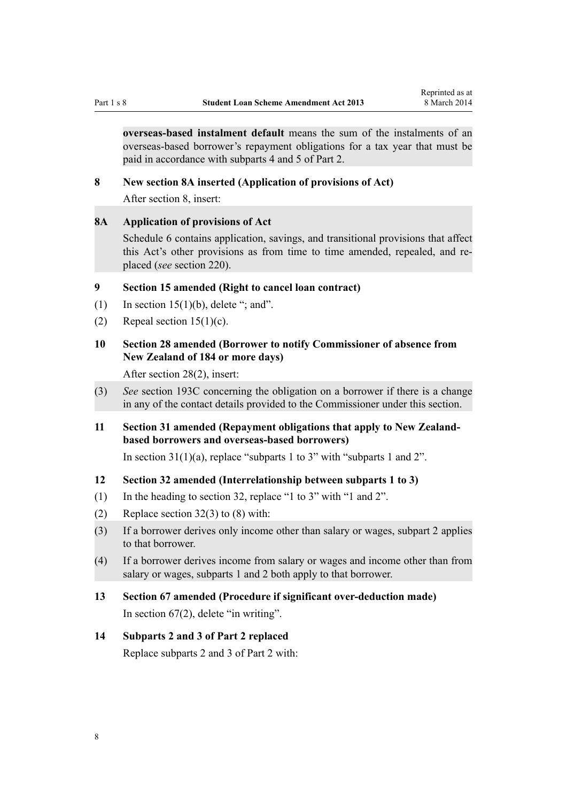<span id="page-7-0"></span>**overseas-based instalment default** means the sum of the instalments of an overseas-based borrower's repayment obligations for a tax year that must be paid in accordance with subparts 4 and 5 of Part 2.

#### **8 New section 8A inserted (Application of provisions of Act)**

After [section 8,](http://prd-lgnz-nlb.prd.pco.net.nz/pdflink.aspx?id=DLM3180070) insert:

## **8A Application of provisions of Act**

Schedule 6 contains application, savings, and transitional provisions that affect this Act's other provisions as from time to time amended, repealed, and replaced (*see* section 220).

# **9 Section 15 amended (Right to cancel loan contract)**

- (1) In section  $15(1)(b)$ , delete "; and".
- (2) Repeal section  $15(1)(c)$ .

# **10 Section 28 amended (Borrower to notify Commissioner of absence from New Zealand of 184 or more days)**

After [section 28\(2\),](http://prd-lgnz-nlb.prd.pco.net.nz/pdflink.aspx?id=DLM3180092) insert:

(3) *See* section 193C concerning the obligation on a borrower if there is a change in any of the contact details provided to the Commissioner under this section.

# **11 Section 31 amended (Repayment obligations that apply to New Zealandbased borrowers and overseas-based borrowers)**

In [section 31\(1\)\(a\),](http://prd-lgnz-nlb.prd.pco.net.nz/pdflink.aspx?id=DLM3180096) replace "subparts 1 to 3" with "subparts 1 and 2".

#### **12 Section 32 amended (Interrelationship between subparts 1 to 3)**

- (1) In the heading to [section 32,](http://prd-lgnz-nlb.prd.pco.net.nz/pdflink.aspx?id=DLM3180097) replace "1 to 3" with "1 and 2".
- (2) Replace section  $32(3)$  to (8) with:
- (3) If a borrower derives only income other than salary or wages, subpart 2 applies to that borrower.
- (4) If a borrower derives income from salary or wages and income other than from salary or wages, subparts 1 and 2 both apply to that borrower.
- **13 Section 67 amended (Procedure if significant over-deduction made)** In [section 67\(2\)](http://prd-lgnz-nlb.prd.pco.net.nz/pdflink.aspx?id=DLM3885533), delete "in writing".

## **14 Subparts 2 and 3 of Part 2 replaced**

Replace [subparts 2](http://prd-lgnz-nlb.prd.pco.net.nz/pdflink.aspx?id=DLM3179932) and [3](http://prd-lgnz-nlb.prd.pco.net.nz/pdflink.aspx?id=DLM3179935) of Part 2 with: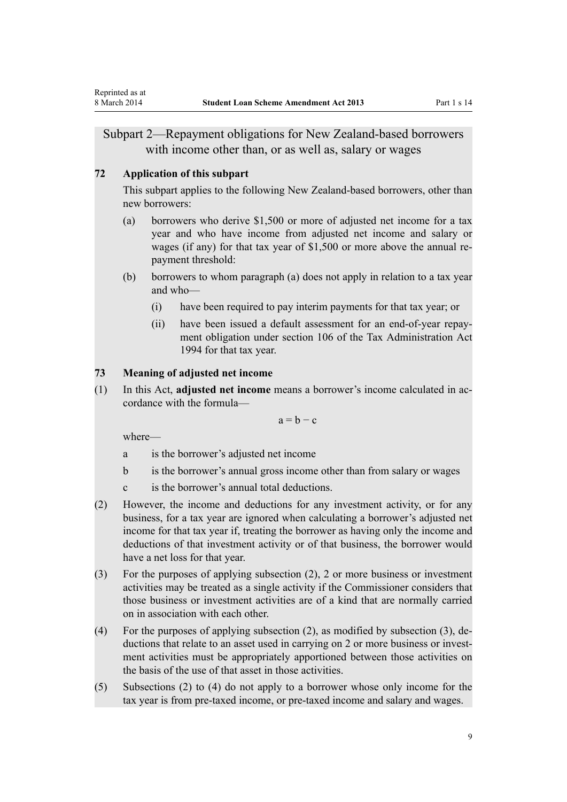# <span id="page-8-0"></span>Subpart 2—Repayment obligations for New Zealand-based borrowers with income other than, or as well as, salary or wages

#### **72 Application of this subpart**

This subpart applies to the following New Zealand-based borrowers, other than new borrowers:

- (a) borrowers who derive \$1,500 or more of adjusted net income for a tax year and who have income from adjusted net income and salary or wages (if any) for that tax year of \$1,500 or more above the annual repayment threshold:
- (b) borrowers to whom paragraph (a) does not apply in relation to a tax year and who—
	- (i) have been required to pay interim payments for that tax year; or
	- (ii) have been issued a default assessment for an end-of-year repayment obligation under section 106 of the Tax Administration Act 1994 for that tax year.

### **73 Meaning of adjusted net income**

(1) In this Act, **adjusted net income** means a borrower's income calculated in accordance with the formula—

 $a = b - c$ 

where—

- a is the borrower's adjusted net income
- b is the borrower's annual gross income other than from salary or wages
- c is the borrower's annual total deductions.
- (2) However, the income and deductions for any investment activity, or for any business, for a tax year are ignored when calculating a borrower's adjusted net income for that tax year if, treating the borrower as having only the income and deductions of that investment activity or of that business, the borrower would have a net loss for that year.
- (3) For the purposes of applying subsection (2), 2 or more business or investment activities may be treated as a single activity if the Commissioner considers that those business or investment activities are of a kind that are normally carried on in association with each other.
- (4) For the purposes of applying subsection (2), as modified by subsection (3), deductions that relate to an asset used in carrying on 2 or more business or investment activities must be appropriately apportioned between those activities on the basis of the use of that asset in those activities.
- (5) Subsections (2) to (4) do not apply to a borrower whose only income for the tax year is from pre-taxed income, or pre-taxed income and salary and wages.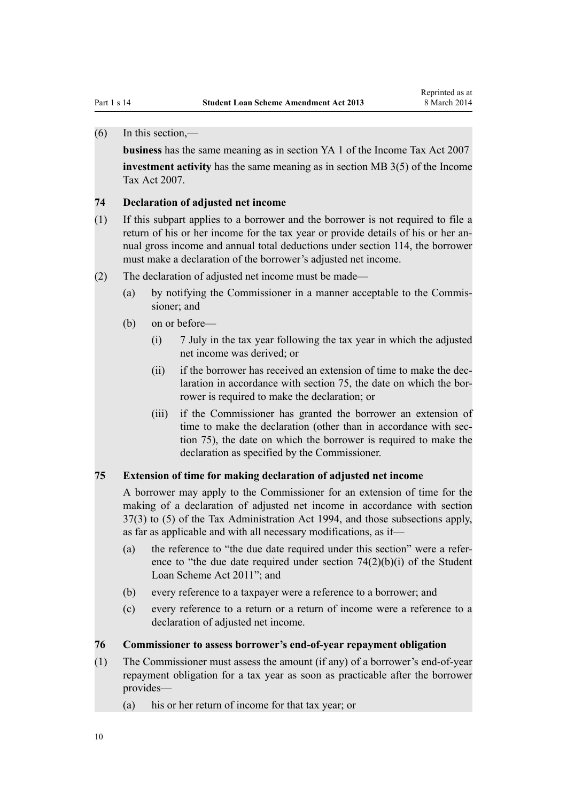# <span id="page-9-0"></span>(6) In this section,—

**business** has the same meaning as in section YA 1 of the Income Tax Act 2007

**investment activity** has the same meaning as in section MB 3(5) of the Income Tax Act 2007.

#### **74 Declaration of adjusted net income**

- (1) If this subpart applies to a borrower and the borrower is not required to file a return of his or her income for the tax year or provide details of his or her annual gross income and annual total deductions under section 114, the borrower must make a declaration of the borrower's adjusted net income.
- (2) The declaration of adjusted net income must be made—
	- (a) by notifying the Commissioner in a manner acceptable to the Commissioner; and
	- (b) on or before—
		- (i) 7 July in the tax year following the tax year in which the adjusted net income was derived; or
		- (ii) if the borrower has received an extension of time to make the declaration in accordance with section 75, the date on which the borrower is required to make the declaration; or
		- (iii) if the Commissioner has granted the borrower an extension of time to make the declaration (other than in accordance with section 75), the date on which the borrower is required to make the declaration as specified by the Commissioner.

#### **75 Extension of time for making declaration of adjusted net income**

A borrower may apply to the Commissioner for an extension of time for the making of a declaration of adjusted net income in accordance with section 37(3) to (5) of the Tax Administration Act 1994, and those subsections apply, as far as applicable and with all necessary modifications, as if—

- (a) the reference to "the due date required under this section" were a reference to "the due date required under section  $74(2)(b)(i)$  of the Student Loan Scheme Act 2011"; and
- (b) every reference to a taxpayer were a reference to a borrower; and
- (c) every reference to a return or a return of income were a reference to a declaration of adjusted net income.

#### **76 Commissioner to assess borrower's end-of-year repayment obligation**

- (1) The Commissioner must assess the amount (if any) of a borrower's end-of-year repayment obligation for a tax year as soon as practicable after the borrower provides—
	- (a) his or her return of income for that tax year; or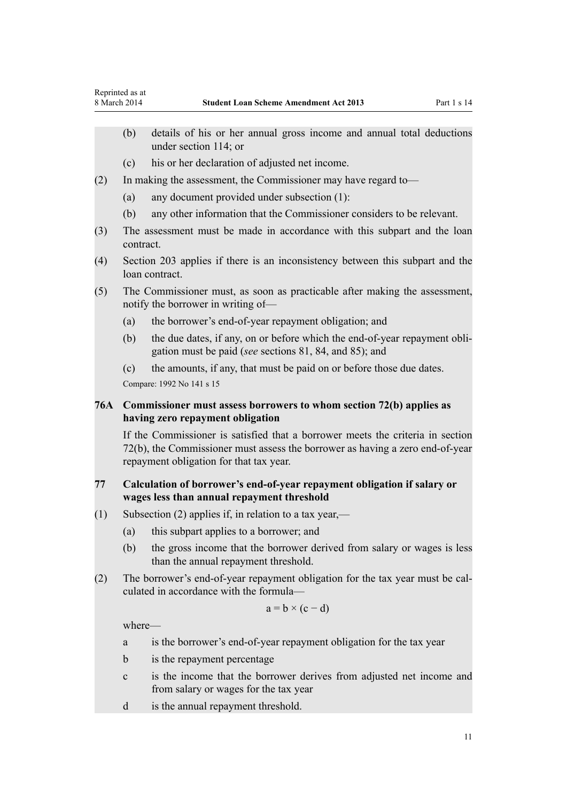- <span id="page-10-0"></span>(b) details of his or her annual gross income and annual total deductions under section 114; or
- (c) his or her declaration of adjusted net income.
- (2) In making the assessment, the Commissioner may have regard to—
	- (a) any document provided under subsection (1):
	- (b) any other information that the Commissioner considers to be relevant.
- (3) The assessment must be made in accordance with this subpart and the loan contract.
- (4) Section 203 applies if there is an inconsistency between this subpart and the loan contract.
- (5) The Commissioner must, as soon as practicable after making the assessment, notify the borrower in writing of—
	- (a) the borrower's end-of-year repayment obligation; and
	- (b) the due dates, if any, on or before which the end-of-year repayment obligation must be paid (*see* sections 81, 84, and 85); and
	- (c) the amounts, if any, that must be paid on or before those due dates.

Compare: 1992 No 141 s 15

# **76A Commissioner must assess borrowers to whom section 72(b) applies as having zero repayment obligation**

If the Commissioner is satisfied that a borrower meets the criteria in section 72(b), the Commissioner must assess the borrower as having a zero end-of-year repayment obligation for that tax year.

#### **77 Calculation of borrower's end-of-year repayment obligation if salary or wages less than annual repayment threshold**

- (1) Subsection (2) applies if, in relation to a tax year,—
	- (a) this subpart applies to a borrower; and
	- (b) the gross income that the borrower derived from salary or wages is less than the annual repayment threshold.
- (2) The borrower's end-of-year repayment obligation for the tax year must be calculated in accordance with the formula—

$$
a = b \times (c - d)
$$

where—

- a is the borrower's end-of-year repayment obligation for the tax year
- b is the repayment percentage
- c is the income that the borrower derives from adjusted net income and from salary or wages for the tax year
- d is the annual repayment threshold.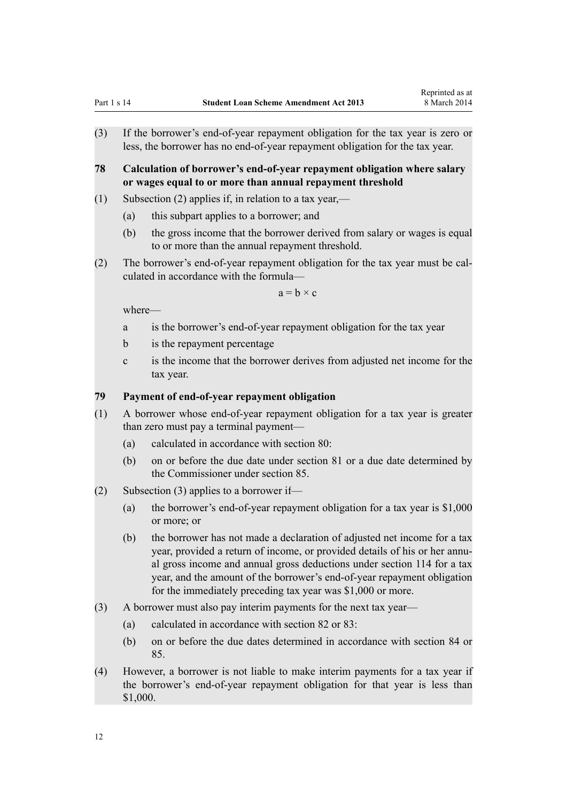<span id="page-11-0"></span>**78 Calculation of borrower's end-of-year repayment obligation where salary or wages equal to or more than annual repayment threshold**

- (1) Subsection (2) applies if, in relation to a tax year,—
	- (a) this subpart applies to a borrower; and
	- (b) the gross income that the borrower derived from salary or wages is equal to or more than the annual repayment threshold.
- (2) The borrower's end-of-year repayment obligation for the tax year must be calculated in accordance with the formula—

 $a = h \times c$ 

where—

- a is the borrower's end-of-year repayment obligation for the tax year
- b is the repayment percentage
- c is the income that the borrower derives from adjusted net income for the tax year.

#### **79 Payment of end-of-year repayment obligation**

- (1) A borrower whose end-of-year repayment obligation for a tax year is greater than zero must pay a terminal payment—
	- (a) calculated in accordance with section 80:
	- (b) on or before the due date under section 81 or a due date determined by the Commissioner under section 85.
- (2) Subsection (3) applies to a borrower if—
	- (a) the borrower's end-of-year repayment obligation for a tax year is \$1,000 or more; or
	- (b) the borrower has not made a declaration of adjusted net income for a tax year, provided a return of income, or provided details of his or her annual gross income and annual gross deductions under section 114 for a tax year, and the amount of the borrower's end-of-year repayment obligation for the immediately preceding tax year was \$1,000 or more.
- (3) A borrower must also pay interim payments for the next tax year—
	- (a) calculated in accordance with section 82 or 83:
	- (b) on or before the due dates determined in accordance with section 84 or 85.
- (4) However, a borrower is not liable to make interim payments for a tax year if the borrower's end-of-year repayment obligation for that year is less than \$1,000.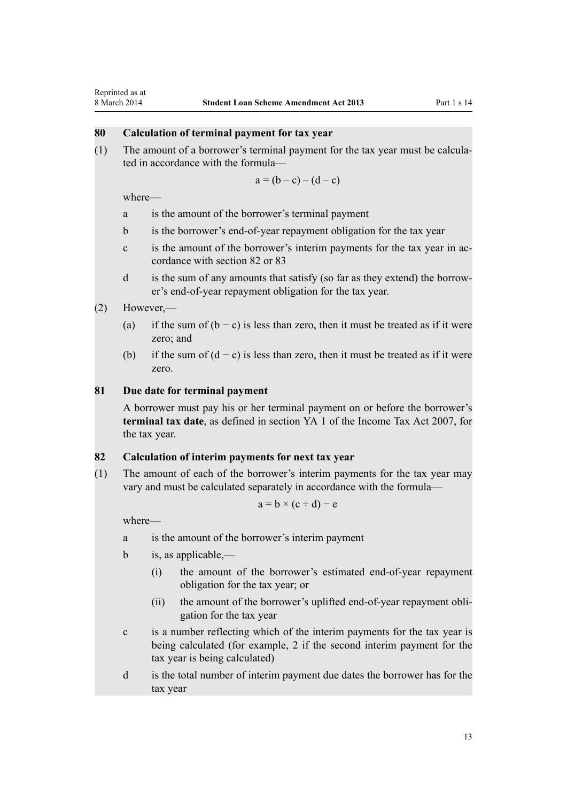# <span id="page-12-0"></span>**80 Calculation of terminal payment for tax year**

(1) The amount of a borrower's terminal payment for the tax year must be calculated in accordance with the formula—

$$
a = (b - c) - (d - c)
$$

where—

- a is the amount of the borrower's terminal payment
- b is the borrower's end-of-year repayment obligation for the tax year
- c is the amount of the borrower's interim payments for the tax year in accordance with section 82 or 83
- d is the sum of any amounts that satisfy (so far as they extend) the borrower's end-of-year repayment obligation for the tax year.

## (2) However,—

- (a) if the sum of  $(b c)$  is less than zero, then it must be treated as if it were zero; and
- (b) if the sum of  $(d c)$  is less than zero, then it must be treated as if it were zero.

#### **81 Due date for terminal payment**

A borrower must pay his or her terminal payment on or before the borrower's **terminal tax date**, as defined in section YA 1 of the Income Tax Act 2007, for the tax year.

#### **82 Calculation of interim payments for next tax year**

(1) The amount of each of the borrower's interim payments for the tax year may vary and must be calculated separately in accordance with the formula—

$$
a = b \times (c \div d) - e
$$

where—

- a is the amount of the borrower's interim payment
- b is, as applicable,—
	- (i) the amount of the borrower's estimated end-of-year repayment obligation for the tax year; or
	- (ii) the amount of the borrower's uplifted end-of-year repayment obligation for the tax year
- c is a number reflecting which of the interim payments for the tax year is being calculated (for example, 2 if the second interim payment for the tax year is being calculated)
- d is the total number of interim payment due dates the borrower has for the tax year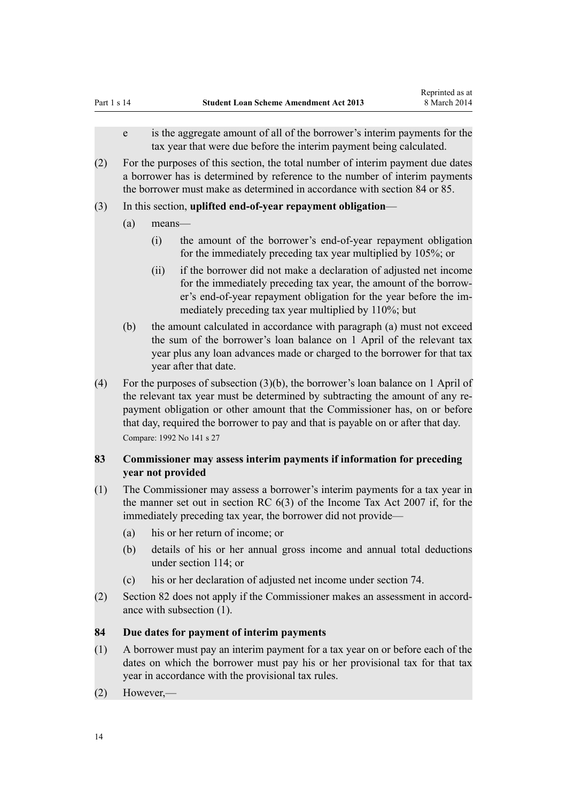- <span id="page-13-0"></span>e is the aggregate amount of all of the borrower's interim payments for the tax year that were due before the interim payment being calculated.
- (2) For the purposes of this section, the total number of interim payment due dates a borrower has is determined by reference to the number of interim payments the borrower must make as determined in accordance with section 84 or 85.
- (3) In this section, **uplifted end-of-year repayment obligation**
	- (a) means—
		- (i) the amount of the borrower's end-of-year repayment obligation for the immediately preceding tax year multiplied by 105%; or
		- (ii) if the borrower did not make a declaration of adjusted net income for the immediately preceding tax year, the amount of the borrower's end-of-year repayment obligation for the year before the immediately preceding tax year multiplied by 110%; but
	- (b) the amount calculated in accordance with paragraph (a) must not exceed the sum of the borrower's loan balance on 1 April of the relevant tax year plus any loan advances made or charged to the borrower for that tax year after that date.
- (4) For the purposes of subsection (3)(b), the borrower's loan balance on 1 April of the relevant tax year must be determined by subtracting the amount of any repayment obligation or other amount that the Commissioner has, on or before that day, required the borrower to pay and that is payable on or after that day. Compare: 1992 No 141 s 27

# **83 Commissioner may assess interim payments if information for preceding year not provided**

- (1) The Commissioner may assess a borrower's interim payments for a tax year in the manner set out in section RC 6(3) of the Income Tax Act 2007 if, for the immediately preceding tax year, the borrower did not provide—
	- (a) his or her return of income; or
	- (b) details of his or her annual gross income and annual total deductions under section 114; or
	- (c) his or her declaration of adjusted net income under section 74.
- (2) Section 82 does not apply if the Commissioner makes an assessment in accordance with subsection (1).

# **84 Due dates for payment of interim payments**

- (1) A borrower must pay an interim payment for a tax year on or before each of the dates on which the borrower must pay his or her provisional tax for that tax year in accordance with the provisional tax rules.
- (2) However,—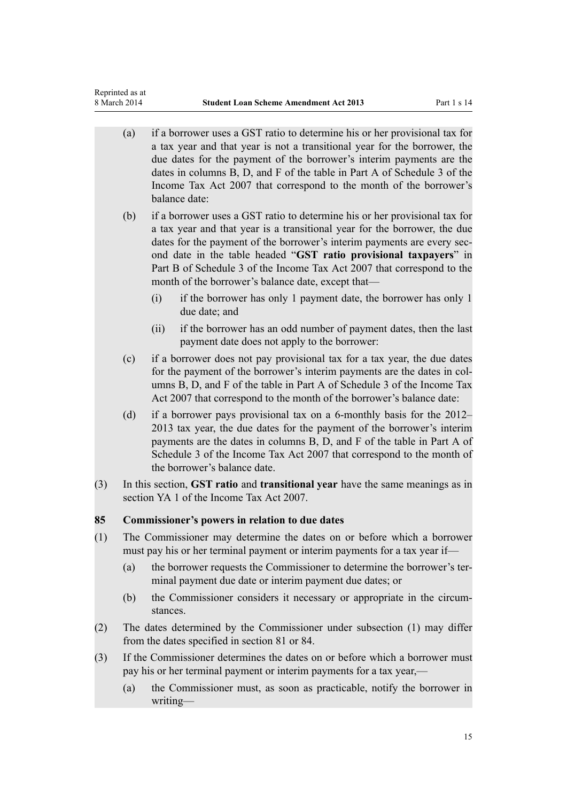<span id="page-14-0"></span>Reprinted as at

- (a) if a borrower uses a GST ratio to determine his or her provisional tax for a tax year and that year is not a transitional year for the borrower, the due dates for the payment of the borrower's interim payments are the dates in columns B, D, and F of the table in Part A of Schedule 3 of the Income Tax Act 2007 that correspond to the month of the borrower's balance date: (b) if a borrower uses a GST ratio to determine his or her provisional tax for a tax year and that year is a transitional year for the borrower, the due dates for the payment of the borrower's interim payments are every second date in the table headed "**GST ratio provisional taxpayers**" in Part B of Schedule 3 of the Income Tax Act 2007 that correspond to the month of the borrower's balance date, except that— (i) if the borrower has only 1 payment date, the borrower has only 1 due date; and (ii) if the borrower has an odd number of payment dates, then the last payment date does not apply to the borrower: (c) if a borrower does not pay provisional tax for a tax year, the due dates for the payment of the borrower's interim payments are the dates in columns B, D, and F of the table in Part A of Schedule 3 of the Income Tax Act 2007 that correspond to the month of the borrower's balance date: (d) if a borrower pays provisional tax on a 6-monthly basis for the 2012– 2013 tax year, the due dates for the payment of the borrower's interim payments are the dates in columns B, D, and F of the table in Part A of Schedule 3 of the Income Tax Act 2007 that correspond to the month of the borrower's balance date. (3) In this section, **GST ratio** and **transitional year** have the same meanings as in section YA 1 of the Income Tax Act 2007. **85 Commissioner's powers in relation to due dates** (1) The Commissioner may determine the dates on or before which a borrower must pay his or her terminal payment or interim payments for a tax year if— (a) the borrower requests the Commissioner to determine the borrower's terminal payment due date or interim payment due dates; or (b) the Commissioner considers it necessary or appropriate in the circumstances. (2) The dates determined by the Commissioner under subsection (1) may differ from the dates specified in section 81 or 84. (3) If the Commissioner determines the dates on or before which a borrower must pay his or her terminal payment or interim payments for a tax year,—
	- (a) the Commissioner must, as soon as practicable, notify the borrower in writing—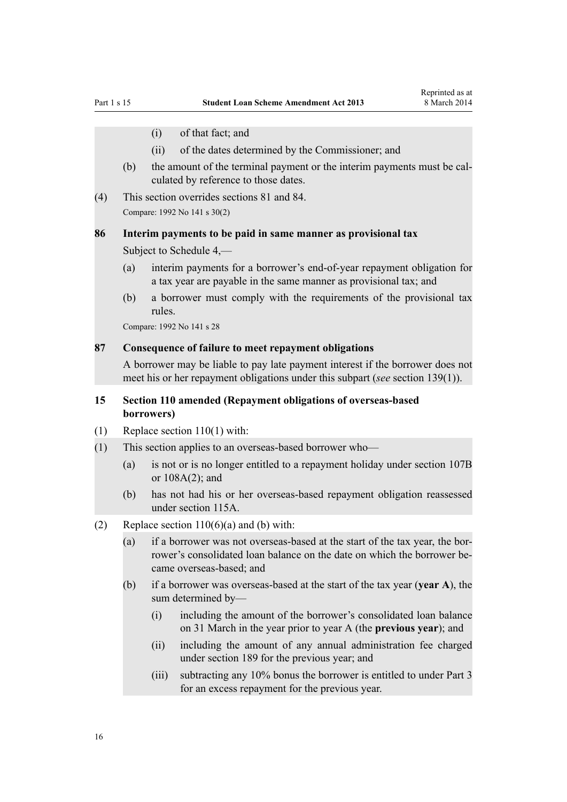- <span id="page-15-0"></span>(i) of that fact; and
- (ii) of the dates determined by the Commissioner; and
- (b) the amount of the terminal payment or the interim payments must be calculated by reference to those dates.
- (4) This section overrides sections 81 and 84. Compare: 1992 No 141 s 30(2)

# **86 Interim payments to be paid in same manner as provisional tax**

Subject to Schedule 4,—

- (a) interim payments for a borrower's end-of-year repayment obligation for a tax year are payable in the same manner as provisional tax; and
- (b) a borrower must comply with the requirements of the provisional tax rules.

Compare: 1992 No 141 s 28

#### **87 Consequence of failure to meet repayment obligations**

A borrower may be liable to pay late payment interest if the borrower does not meet his or her repayment obligations under this subpart (*see* section 139(1)).

# **15 Section 110 amended (Repayment obligations of overseas-based borrowers)**

- (1) Replace [section 110\(1\)](http://prd-lgnz-nlb.prd.pco.net.nz/pdflink.aspx?id=DLM3180250) with:
- (1) This section applies to an overseas-based borrower who—
	- (a) is not or is no longer entitled to a repayment holiday under section 107B or 108A(2); and
	- (b) has not had his or her overseas-based repayment obligation reassessed under section 115A.
- (2) Replace section  $110(6)(a)$  and (b) with:
	- (a) if a borrower was not overseas-based at the start of the tax year, the borrower's consolidated loan balance on the date on which the borrower became overseas-based; and
	- (b) if a borrower was overseas-based at the start of the tax year (**year A**), the sum determined by—
		- (i) including the amount of the borrower's consolidated loan balance on 31 March in the year prior to year A (the **previous year**); and
		- (ii) including the amount of any annual administration fee charged under section 189 for the previous year; and
		- (iii) subtracting any 10% bonus the borrower is entitled to under Part 3 for an excess repayment for the previous year.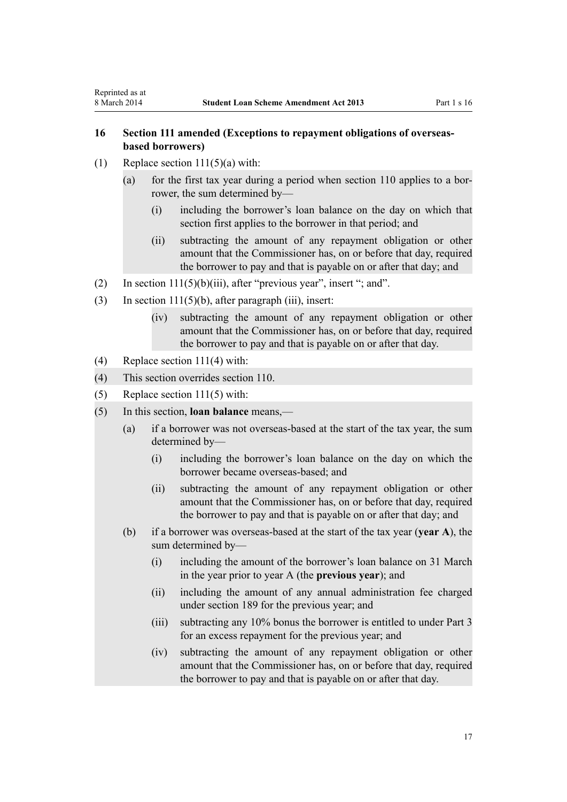# <span id="page-16-0"></span>**16 Section 111 amended (Exceptions to repayment obligations of overseasbased borrowers)**

- (1) Replace section  $111(5)(a)$  with:
	- (a) for the first tax year during a period when section 110 applies to a borrower, the sum determined by—
		- (i) including the borrower's loan balance on the day on which that section first applies to the borrower in that period; and
		- (ii) subtracting the amount of any repayment obligation or other amount that the Commissioner has, on or before that day, required the borrower to pay and that is payable on or after that day; and
- (2) In section  $111(5)(b)(iii)$ , after "previous year", insert "; and".
- (3) In section  $111(5)(b)$ , after paragraph (iii), insert:
	- (iv) subtracting the amount of any repayment obligation or other amount that the Commissioner has, on or before that day, required the borrower to pay and that is payable on or after that day.
- (4) Replace [section 111\(4\)](http://prd-lgnz-nlb.prd.pco.net.nz/pdflink.aspx?id=DLM3180255) with:
- (4) This section overrides section 110.
- (5) Replace [section 111\(5\)](http://prd-lgnz-nlb.prd.pco.net.nz/pdflink.aspx?id=DLM3180255) with:
- (5) In this section, **loan balance** means,—
	- (a) if a borrower was not overseas-based at the start of the tax year, the sum determined by—
		- (i) including the borrower's loan balance on the day on which the borrower became overseas-based; and
		- (ii) subtracting the amount of any repayment obligation or other amount that the Commissioner has, on or before that day, required the borrower to pay and that is payable on or after that day; and
	- (b) if a borrower was overseas-based at the start of the tax year (**year A**), the sum determined by—
		- (i) including the amount of the borrower's loan balance on 31 March in the year prior to year A (the **previous year**); and
		- (ii) including the amount of any annual administration fee charged under section 189 for the previous year; and
		- (iii) subtracting any 10% bonus the borrower is entitled to under Part 3 for an excess repayment for the previous year; and
		- (iv) subtracting the amount of any repayment obligation or other amount that the Commissioner has, on or before that day, required the borrower to pay and that is payable on or after that day.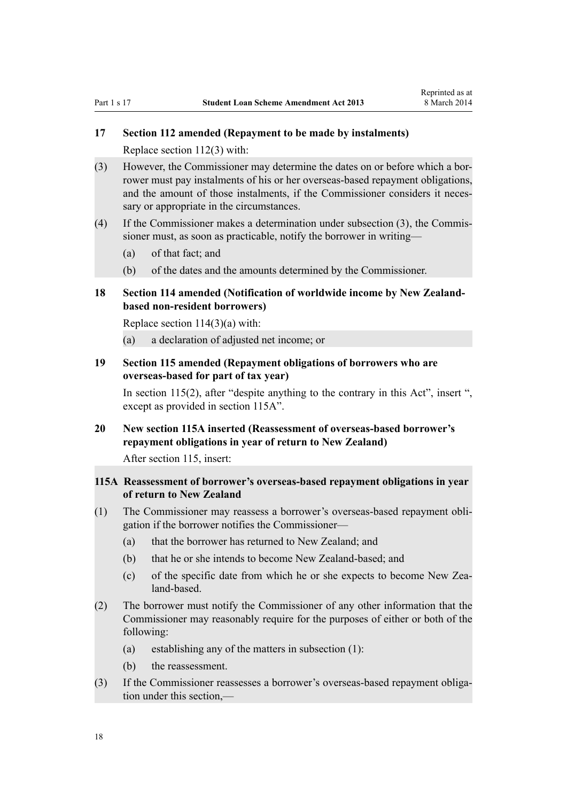# <span id="page-17-0"></span>**17 Section 112 amended (Repayment to be made by instalments)**

Replace [section 112\(3\)](http://prd-lgnz-nlb.prd.pco.net.nz/pdflink.aspx?id=DLM3180257) with:

- (3) However, the Commissioner may determine the dates on or before which a borrower must pay instalments of his or her overseas-based repayment obligations, and the amount of those instalments, if the Commissioner considers it necessary or appropriate in the circumstances.
- (4) If the Commissioner makes a determination under subsection (3), the Commissioner must, as soon as practicable, notify the borrower in writing—
	- (a) of that fact; and
	- (b) of the dates and the amounts determined by the Commissioner.

# **18 Section 114 amended (Notification of worldwide income by New Zealandbased non-resident borrowers)**

Replace section  $114(3)(a)$  with:

(a) a declaration of adjusted net income; or

# **19 Section 115 amended (Repayment obligations of borrowers who are overseas-based for part of tax year)**

In [section 115\(2\),](http://prd-lgnz-nlb.prd.pco.net.nz/pdflink.aspx?id=DLM3180261) after "despite anything to the contrary in this Act", insert ", except as provided in section 115A".

# **20 New section 115A inserted (Reassessment of overseas-based borrower's repayment obligations in year of return to New Zealand)**

After [section 115,](http://prd-lgnz-nlb.prd.pco.net.nz/pdflink.aspx?id=DLM3180261) insert:

# **115A Reassessment of borrower's overseas-based repayment obligations in year of return to New Zealand**

- (1) The Commissioner may reassess a borrower's overseas-based repayment obligation if the borrower notifies the Commissioner—
	- (a) that the borrower has returned to New Zealand; and
	- (b) that he or she intends to become New Zealand-based; and
	- (c) of the specific date from which he or she expects to become New Zealand-based.
- (2) The borrower must notify the Commissioner of any other information that the Commissioner may reasonably require for the purposes of either or both of the following:
	- (a) establishing any of the matters in subsection (1):
	- (b) the reassessment.
- (3) If the Commissioner reassesses a borrower's overseas-based repayment obligation under this section,—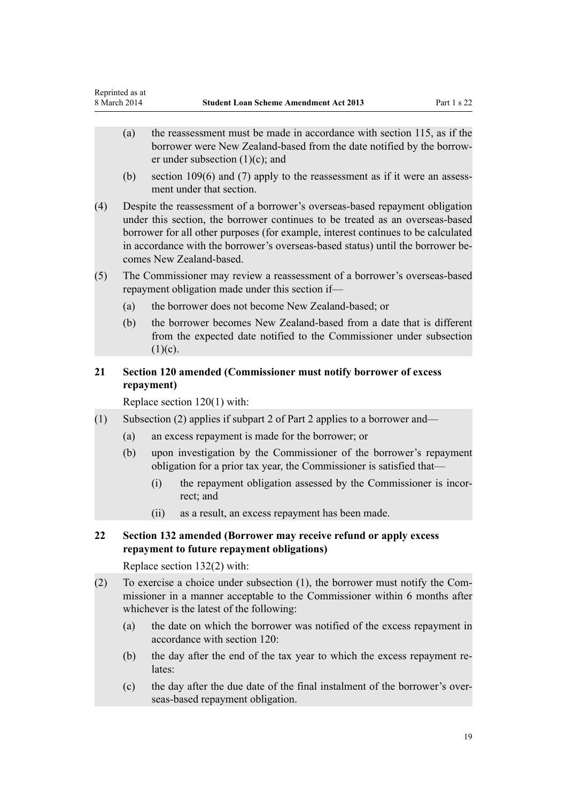- <span id="page-18-0"></span>(a) the reassessment must be made in accordance with section 115, as if the borrower were New Zealand-based from the date notified by the borrower under subsection (1)(c); and
- (b) section 109(6) and (7) apply to the reassessment as if it were an assessment under that section.
- (4) Despite the reassessment of a borrower's overseas-based repayment obligation under this section, the borrower continues to be treated as an overseas-based borrower for all other purposes (for example, interest continues to be calculated in accordance with the borrower's overseas-based status) until the borrower becomes New Zealand-based.
- (5) The Commissioner may review a reassessment of a borrower's overseas-based repayment obligation made under this section if—
	- (a) the borrower does not become New Zealand-based; or
	- (b) the borrower becomes New Zealand-based from a date that is different from the expected date notified to the Commissioner under subsection  $(1)(c)$ .

# **21 Section 120 amended (Commissioner must notify borrower of excess repayment)**

Replace [section 120\(1\)](http://prd-lgnz-nlb.prd.pco.net.nz/pdflink.aspx?id=DLM3180274) with:

- (1) Subsection (2) applies if subpart 2 of Part 2 applies to a borrower and—
	- (a) an excess repayment is made for the borrower; or
	- (b) upon investigation by the Commissioner of the borrower's repayment obligation for a prior tax year, the Commissioner is satisfied that—
		- (i) the repayment obligation assessed by the Commissioner is incorrect; and
		- (ii) as a result, an excess repayment has been made.
- **22 Section 132 amended (Borrower may receive refund or apply excess repayment to future repayment obligations)**

Replace [section 132\(2\)](http://prd-lgnz-nlb.prd.pco.net.nz/pdflink.aspx?id=DLM3885563) with:

- (2) To exercise a choice under subsection (1), the borrower must notify the Commissioner in a manner acceptable to the Commissioner within 6 months after whichever is the latest of the following:
	- (a) the date on which the borrower was notified of the excess repayment in accordance with section 120:
	- (b) the day after the end of the tax year to which the excess repayment relates:
	- (c) the day after the due date of the final instalment of the borrower's overseas-based repayment obligation.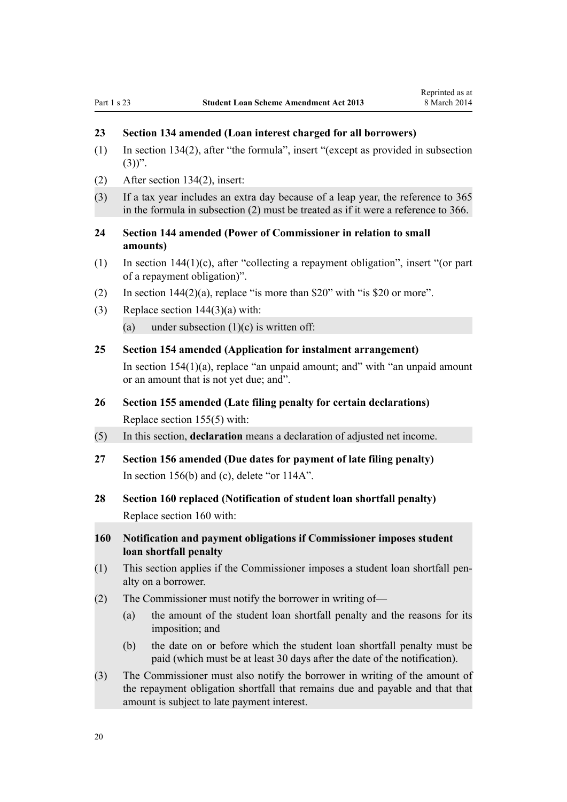# <span id="page-19-0"></span>**23 Section 134 amended (Loan interest charged for all borrowers)**

- (1) In [section 134\(2](http://prd-lgnz-nlb.prd.pco.net.nz/pdflink.aspx?id=DLM3818801)), after "the formula", insert "(except as provided in subsection  $(3)$ ".
- (2) After [section 134\(2\)](http://prd-lgnz-nlb.prd.pco.net.nz/pdflink.aspx?id=DLM3818801), insert:
- (3) If a tax year includes an extra day because of a leap year, the reference to 365 in the formula in subsection (2) must be treated as if it were a reference to 366.
- **24 Section 144 amended (Power of Commissioner in relation to small amounts)**
- (1) In [section 144\(1\)\(c\)](http://prd-lgnz-nlb.prd.pco.net.nz/pdflink.aspx?id=DLM3180315), after "collecting a repayment obligation", insert "(or part of a repayment obligation)".
- (2) In section  $144(2)(a)$ , replace "is more than \$20" with "is \$20 or more".
- (3) Replace [section 144\(3\)\(a\)](http://prd-lgnz-nlb.prd.pco.net.nz/pdflink.aspx?id=DLM3180315) with:
	- (a) under subsection  $(1)(c)$  is written off:

# **25 Section 154 amended (Application for instalment arrangement)**

In [section 154\(1\)\(a\)](http://prd-lgnz-nlb.prd.pco.net.nz/pdflink.aspx?id=DLM3180327), replace "an unpaid amount; and" with "an unpaid amount or an amount that is not yet due; and".

- **26 Section 155 amended (Late filing penalty for certain declarations)** Replace [section 155\(5\)](http://prd-lgnz-nlb.prd.pco.net.nz/pdflink.aspx?id=DLM3180331) with:
- (5) In this section, **declaration** means a declaration of adjusted net income.
- **27 Section 156 amended (Due dates for payment of late filing penalty)** In [section 156\(b\) and \(c\),](http://prd-lgnz-nlb.prd.pco.net.nz/pdflink.aspx?id=DLM3180333) delete "or 114A".
- **28 Section 160 replaced (Notification of student loan shortfall penalty)** Replace [section 160](http://prd-lgnz-nlb.prd.pco.net.nz/pdflink.aspx?id=DLM3180346) with:
- **160 Notification and payment obligations if Commissioner imposes student loan shortfall penalty**
- (1) This section applies if the Commissioner imposes a student loan shortfall penalty on a borrower.
- (2) The Commissioner must notify the borrower in writing of—
	- (a) the amount of the student loan shortfall penalty and the reasons for its imposition; and
	- (b) the date on or before which the student loan shortfall penalty must be paid (which must be at least 30 days after the date of the notification).
- (3) The Commissioner must also notify the borrower in writing of the amount of the repayment obligation shortfall that remains due and payable and that that amount is subject to late payment interest.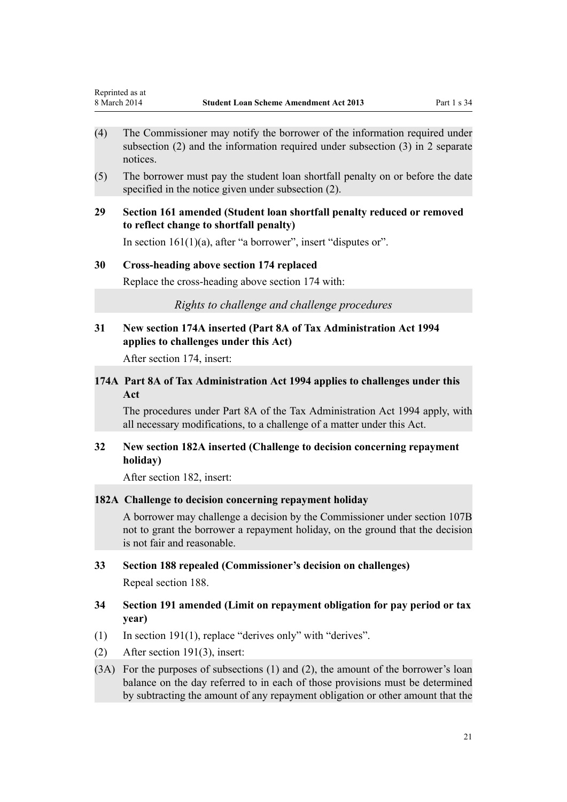- <span id="page-20-0"></span>(4) The Commissioner may notify the borrower of the information required under subsection (2) and the information required under subsection (3) in 2 separate notices.
- (5) The borrower must pay the student loan shortfall penalty on or before the date specified in the notice given under subsection (2).

# **29 Section 161 amended (Student loan shortfall penalty reduced or removed to reflect change to shortfall penalty)**

In section  $161(1)(a)$ , after "a borrower", insert "disputes or".

#### **30 Cross-heading above section 174 replaced**

Replace the cross-heading above [section 174](http://prd-lgnz-nlb.prd.pco.net.nz/pdflink.aspx?id=DLM3180366) with:

*Rights to challenge and challenge procedures*

# **31 New section 174A inserted (Part 8A of Tax Administration Act 1994 applies to challenges under this Act)**

After [section 174](http://prd-lgnz-nlb.prd.pco.net.nz/pdflink.aspx?id=DLM3180366), insert:

# **174A Part 8A of Tax Administration Act 1994 applies to challenges under this Act**

The procedures under Part 8A of the Tax Administration Act 1994 apply, with all necessary modifications, to a challenge of a matter under this Act.

## **32 New section 182A inserted (Challenge to decision concerning repayment holiday)**

After [section 182](http://prd-lgnz-nlb.prd.pco.net.nz/pdflink.aspx?id=DLM3180372), insert:

#### **182A Challenge to decision concerning repayment holiday**

A borrower may challenge a decision by the Commissioner under section 107B not to grant the borrower a repayment holiday, on the ground that the decision is not fair and reasonable.

#### **33 Section 188 repealed (Commissioner's decision on challenges)**

Repeal [section 188.](http://prd-lgnz-nlb.prd.pco.net.nz/pdflink.aspx?id=DLM3180378)

# **34 Section 191 amended (Limit on repayment obligation for pay period or tax year)**

- (1) In [section 191\(1\),](http://prd-lgnz-nlb.prd.pco.net.nz/pdflink.aspx?id=DLM3180385) replace "derives only" with "derives".
- (2) After [section 191\(3\)](http://prd-lgnz-nlb.prd.pco.net.nz/pdflink.aspx?id=DLM3180385), insert:
- (3A) For the purposes of subsections (1) and (2), the amount of the borrower's loan balance on the day referred to in each of those provisions must be determined by subtracting the amount of any repayment obligation or other amount that the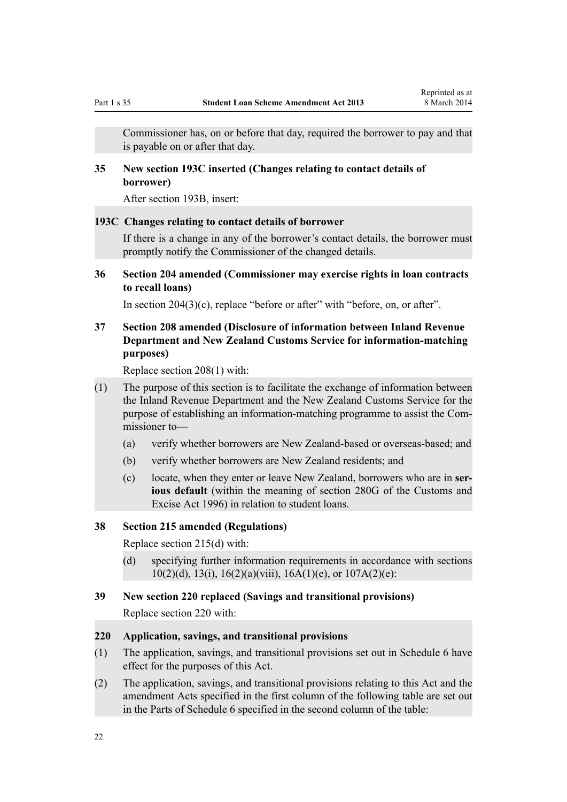<span id="page-21-0"></span>Commissioner has, on or before that day, required the borrower to pay and that is payable on or after that day.

# **35 New section 193C inserted (Changes relating to contact details of borrower)**

After [section 193B,](http://prd-lgnz-nlb.prd.pco.net.nz/pdflink.aspx?id=DLM4428928) insert:

#### **193C Changes relating to contact details of borrower**

If there is a change in any of the borrower's contact details, the borrower must promptly notify the Commissioner of the changed details.

**36 Section 204 amended (Commissioner may exercise rights in loan contracts to recall loans)**

In [section 204\(3\)\(c\),](http://prd-lgnz-nlb.prd.pco.net.nz/pdflink.aspx?id=DLM3526700) replace "before or after" with "before, on, or after".

# **37 Section 208 amended (Disclosure of information between Inland Revenue Department and New Zealand Customs Service for information-matching purposes)**

Replace [section 208\(1\)](http://prd-lgnz-nlb.prd.pco.net.nz/pdflink.aspx?id=DLM3180423) with:

- (1) The purpose of this section is to facilitate the exchange of information between the Inland Revenue Department and the New Zealand Customs Service for the purpose of establishing an information-matching programme to assist the Commissioner to—
	- (a) verify whether borrowers are New Zealand-based or overseas-based; and
	- (b) verify whether borrowers are New Zealand residents; and
	- (c) locate, when they enter or leave New Zealand, borrowers who are in **serious default** (within the meaning of section 280G of the Customs and Excise Act 1996) in relation to student loans.

# **38 Section 215 amended (Regulations)**

Replace [section 215\(d\)](http://prd-lgnz-nlb.prd.pco.net.nz/pdflink.aspx?id=DLM3180437) with:

(d) specifying further information requirements in accordance with sections 10(2)(d), 13(i), 16(2)(a)(viii), 16A(1)(e), or  $107A(2)(e)$ :

#### **39 New section 220 replaced (Savings and transitional provisions)**

Replace [section 220](http://prd-lgnz-nlb.prd.pco.net.nz/pdflink.aspx?id=DLM3180443) with:

#### **220 Application, savings, and transitional provisions**

- (1) The application, savings, and transitional provisions set out in Schedule 6 have effect for the purposes of this Act.
- (2) The application, savings, and transitional provisions relating to this Act and the amendment Acts specified in the first column of the following table are set out in the Parts of Schedule 6 specified in the second column of the table: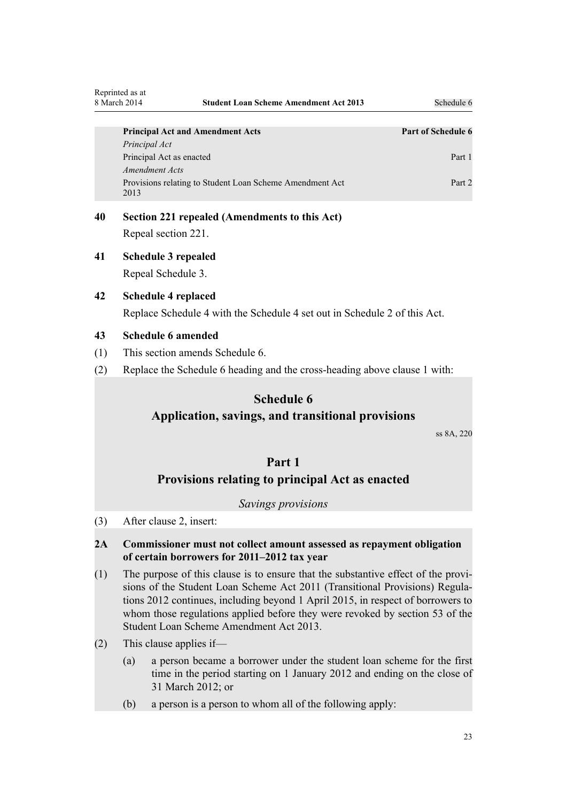<span id="page-22-0"></span>

| <b>Principal Act and Amendment Acts</b>                          | <b>Part of Schedule 6</b> |
|------------------------------------------------------------------|---------------------------|
| Principal Act                                                    |                           |
| Principal Act as enacted                                         | Part 1                    |
| Amendment Acts                                                   |                           |
| Provisions relating to Student Loan Scheme Amendment Act<br>2013 | Part 2                    |

- **40 Section 221 repealed (Amendments to this Act)** Repeal [section 221.](http://prd-lgnz-nlb.prd.pco.net.nz/pdflink.aspx?id=DLM3787600)
- **41 Schedule 3 repealed** Repeal [Schedule 3.](http://prd-lgnz-nlb.prd.pco.net.nz/pdflink.aspx?id=DLM3180467)
- **42 Schedule 4 replaced** Replace [Schedule 4](http://prd-lgnz-nlb.prd.pco.net.nz/pdflink.aspx?id=DLM3180469) with the Schedule 4 set out in [Schedule 2](#page-36-0) of this Act.

## **43 Schedule 6 amended**

- (1) This section amends [Schedule 6.](http://prd-lgnz-nlb.prd.pco.net.nz/pdflink.aspx?id=DLM3180475)
- (2) Replace the [Schedule 6](http://prd-lgnz-nlb.prd.pco.net.nz/pdflink.aspx?id=DLM3180475) heading and the cross-heading above clause 1 with:

# **Schedule 6**

# **Application, savings, and transitional provisions**

ss 8A, 220

# **Part 1 Provisions relating to principal Act as enacted**

#### *Savings provisions*

(3) After [clause 2,](http://prd-lgnz-nlb.prd.pco.net.nz/pdflink.aspx?id=DLM3180478) insert:

## **2A Commissioner must not collect amount assessed as repayment obligation of certain borrowers for 2011–2012 tax year**

- (1) The purpose of this clause is to ensure that the substantive effect of the provisions of the Student Loan Scheme Act 2011 (Transitional Provisions) Regulations 2012 continues, including beyond 1 April 2015, in respect of borrowers to whom those regulations applied before they were revoked by section 53 of the Student Loan Scheme Amendment Act 2013.
- (2) This clause applies if—
	- (a) a person became a borrower under the student loan scheme for the first time in the period starting on 1 January 2012 and ending on the close of 31 March 2012; or
	- (b) a person is a person to whom all of the following apply: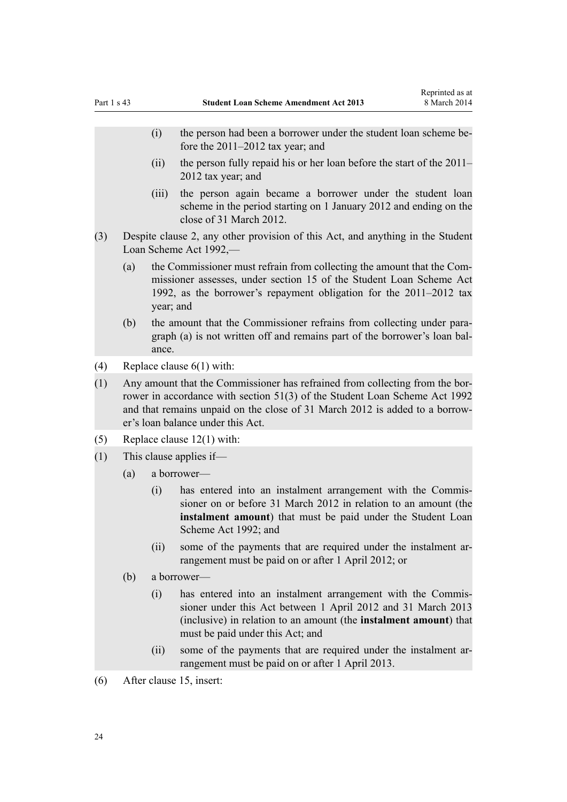- (i) the person had been a borrower under the student loan scheme before the 2011–2012 tax year; and
- (ii) the person fully repaid his or her loan before the start of the 2011– 2012 tax year; and
- (iii) the person again became a borrower under the student loan scheme in the period starting on 1 January 2012 and ending on the close of 31 March 2012.
- (3) Despite clause 2, any other provision of this Act, and anything in the Student Loan Scheme Act 1992,—
	- (a) the Commissioner must refrain from collecting the amount that the Commissioner assesses, under section 15 of the Student Loan Scheme Act 1992, as the borrower's repayment obligation for the 2011–2012 tax year; and
	- (b) the amount that the Commissioner refrains from collecting under paragraph (a) is not written off and remains part of the borrower's loan balance.
- (4) Replace [clause 6\(1\)](http://prd-lgnz-nlb.prd.pco.net.nz/pdflink.aspx?id=DLM3180485) with:
- (1) Any amount that the Commissioner has refrained from collecting from the borrower in accordance with section 51(3) of the Student Loan Scheme Act 1992 and that remains unpaid on the close of 31 March 2012 is added to a borrower's loan balance under this Act.
- (5) Replace [clause 12\(1\)](http://prd-lgnz-nlb.prd.pco.net.nz/pdflink.aspx?id=DLM3180490) with:
- (1) This clause applies if—
	- (a) a borrower—
		- (i) has entered into an instalment arrangement with the Commissioner on or before 31 March 2012 in relation to an amount (the **instalment amount**) that must be paid under the Student Loan Scheme Act 1992; and
		- (ii) some of the payments that are required under the instalment arrangement must be paid on or after 1 April 2012; or
	- (b) a borrower—
		- (i) has entered into an instalment arrangement with the Commissioner under this Act between 1 April 2012 and 31 March 2013 (inclusive) in relation to an amount (the **instalment amount**) that must be paid under this Act; and
		- (ii) some of the payments that are required under the instalment arrangement must be paid on or after 1 April 2013.
- (6) After [clause 15](http://prd-lgnz-nlb.prd.pco.net.nz/pdflink.aspx?id=DLM3180492), insert: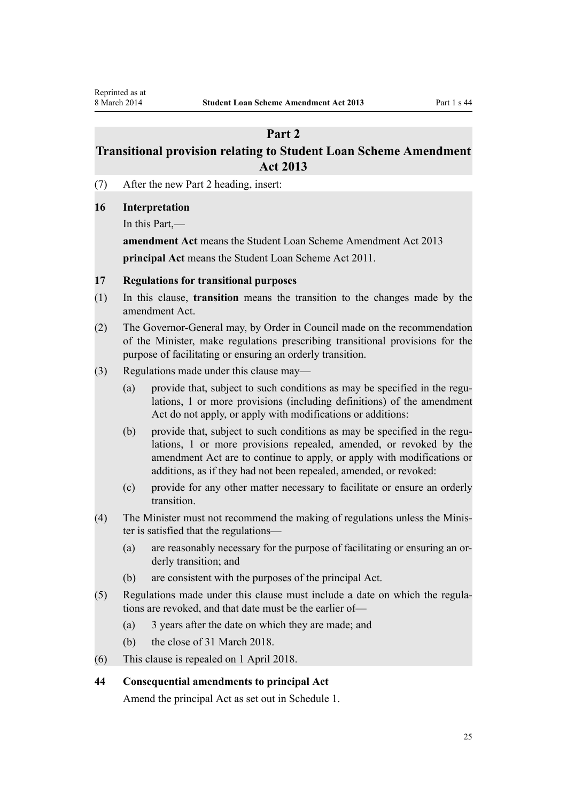# **Part 2**

# <span id="page-24-0"></span>**Transitional provision relating to Student Loan Scheme Amendment Act 2013**

(7) After the new Part 2 heading, insert:

#### **16 Interpretation**

In this Part,—

**amendment Act** means the Student Loan Scheme Amendment Act 2013 **principal Act** means the Student Loan Scheme Act 2011.

#### **17 Regulations for transitional purposes**

- (1) In this clause, **transition** means the transition to the changes made by the amendment Act.
- (2) The Governor-General may, by Order in Council made on the recommendation of the Minister, make regulations prescribing transitional provisions for the purpose of facilitating or ensuring an orderly transition.
- (3) Regulations made under this clause may—
	- (a) provide that, subject to such conditions as may be specified in the regulations, 1 or more provisions (including definitions) of the amendment Act do not apply, or apply with modifications or additions:
	- (b) provide that, subject to such conditions as may be specified in the regulations, 1 or more provisions repealed, amended, or revoked by the amendment Act are to continue to apply, or apply with modifications or additions, as if they had not been repealed, amended, or revoked:
	- (c) provide for any other matter necessary to facilitate or ensure an orderly transition.
- (4) The Minister must not recommend the making of regulations unless the Minister is satisfied that the regulations—
	- (a) are reasonably necessary for the purpose of facilitating or ensuring an orderly transition; and
	- (b) are consistent with the purposes of the principal Act.
- (5) Regulations made under this clause must include a date on which the regulations are revoked, and that date must be the earlier of—
	- (a) 3 years after the date on which they are made; and
	- (b) the close of 31 March 2018.
- (6) This clause is repealed on 1 April 2018.

# **44 Consequential amendments to principal Act**

Amend the principal Act as set out in [Schedule 1](#page-34-0).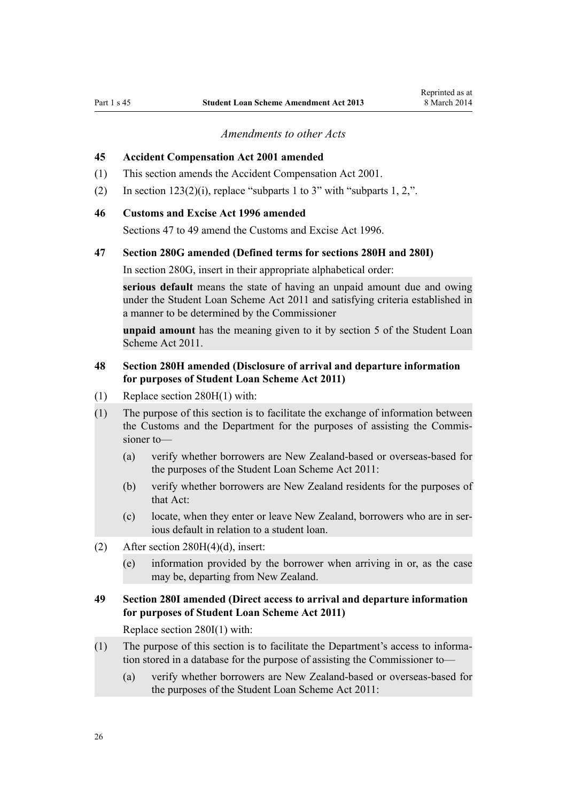*Amendments to other Acts*

#### <span id="page-25-0"></span>**45 Accident Compensation Act 2001 amended**

- (1) This section amends the [Accident Compensation Act 2001](http://prd-lgnz-nlb.prd.pco.net.nz/pdflink.aspx?id=DLM99493).
- (2) In section  $123(2)(i)$ , replace "subparts 1 to 3" with "subparts 1, 2,".

#### **46 Customs and Excise Act 1996 amended**

[Sections 47 to 49](http://prd-lgnz-nlb.prd.pco.net.nz/pdflink.aspx?id=DLM378422) amend the Customs and Excise Act 1996.

#### **47 Section 280G amended (Defined terms for sections 280H and 280I)**

In [section 280G,](http://prd-lgnz-nlb.prd.pco.net.nz/pdflink.aspx?id=DLM380132) insert in their appropriate alphabetical order:

**serious default** means the state of having an unpaid amount due and owing under the Student Loan Scheme Act 2011 and satisfying criteria established in a manner to be determined by the Commissioner

**unpaid amount** has the meaning given to it by section 5 of the Student Loan Scheme Act 2011.

### **48 Section 280H amended (Disclosure of arrival and departure information for purposes of Student Loan Scheme Act 2011)**

- (1) Replace [section 280H\(1\)](http://prd-lgnz-nlb.prd.pco.net.nz/pdflink.aspx?id=DLM380144) with:
- (1) The purpose of this section is to facilitate the exchange of information between the Customs and the Department for the purposes of assisting the Commissioner to—
	- (a) verify whether borrowers are New Zealand-based or overseas-based for the purposes of the Student Loan Scheme Act 2011:
	- (b) verify whether borrowers are New Zealand residents for the purposes of that Act:
	- (c) locate, when they enter or leave New Zealand, borrowers who are in serious default in relation to a student loan.
- (2) After section  $280H(4)(d)$ , insert:
	- (e) information provided by the borrower when arriving in or, as the case may be, departing from New Zealand.

# **49 Section 280I amended (Direct access to arrival and departure information for purposes of Student Loan Scheme Act 2011)**

Replace [section 280I\(1\)](http://prd-lgnz-nlb.prd.pco.net.nz/pdflink.aspx?id=DLM380146) with:

- (1) The purpose of this section is to facilitate the Department's access to information stored in a database for the purpose of assisting the Commissioner to—
	- (a) verify whether borrowers are New Zealand-based or overseas-based for the purposes of the Student Loan Scheme Act 2011: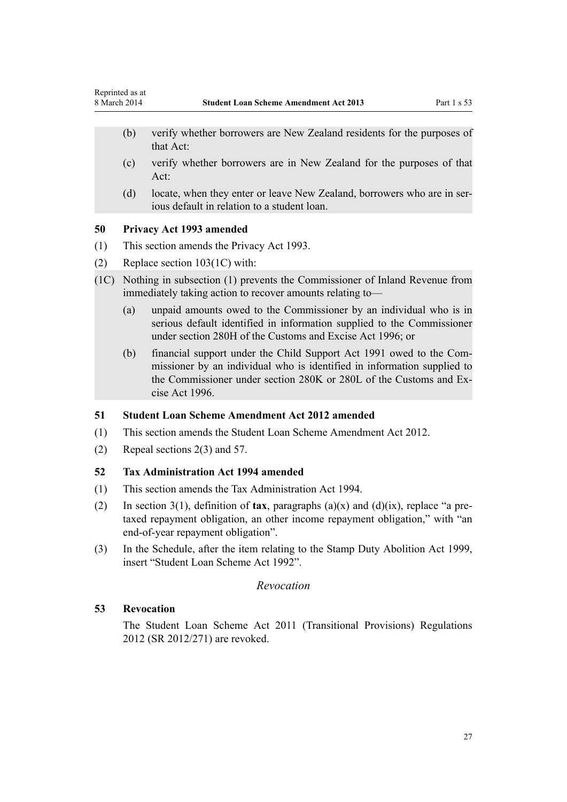- <span id="page-26-0"></span>(b) verify whether borrowers are New Zealand residents for the purposes of that Act:
- (c) verify whether borrowers are in New Zealand for the purposes of that Act:
- (d) locate, when they enter or leave New Zealand, borrowers who are in serious default in relation to a student loan.

#### **50 Privacy Act 1993 amended**

- (1) This section amends the [Privacy Act 1993](http://prd-lgnz-nlb.prd.pco.net.nz/pdflink.aspx?id=DLM296638).
- (2) Replace [section 103\(1C\)](http://prd-lgnz-nlb.prd.pco.net.nz/pdflink.aspx?id=DLM297962) with:
- (1C) Nothing in subsection (1) prevents the Commissioner of Inland Revenue from immediately taking action to recover amounts relating to—
	- (a) unpaid amounts owed to the Commissioner by an individual who is in serious default identified in information supplied to the Commissioner under section 280H of the Customs and Excise Act 1996; or
	- (b) financial support under the Child Support Act 1991 owed to the Commissioner by an individual who is identified in information supplied to the Commissioner under section 280K or 280L of the Customs and Excise Act 1996.

#### **51 Student Loan Scheme Amendment Act 2012 amended**

- (1) This section amends the [Student Loan Scheme Amendment Act 2012.](http://prd-lgnz-nlb.prd.pco.net.nz/pdflink.aspx?id=DLM3989003)
- (2) Repeal [sections 2\(3\)](http://prd-lgnz-nlb.prd.pco.net.nz/pdflink.aspx?id=DLM3989012) and [57.](http://prd-lgnz-nlb.prd.pco.net.nz/pdflink.aspx?id=DLM3989082)

#### **52 Tax Administration Act 1994 amended**

- (1) This section amends the [Tax Administration Act 1994.](http://prd-lgnz-nlb.prd.pco.net.nz/pdflink.aspx?id=DLM348342)
- (2) In [section 3\(1\),](http://prd-lgnz-nlb.prd.pco.net.nz/pdflink.aspx?id=DLM348353) definition of **tax**, paragraphs (a)(x) and (d)(ix), replace "a pretaxed repayment obligation, an other income repayment obligation," with "an end-of-year repayment obligation".
- (3) In the [Schedule](http://prd-lgnz-nlb.prd.pco.net.nz/pdflink.aspx?id=DLM359333), after the item relating to the [Stamp Duty Abolition Act 1999](http://prd-lgnz-nlb.prd.pco.net.nz/pdflink.aspx?id=DLM29365), insert "Student Loan Scheme Act 1992".

#### *Revocation*

#### **53 Revocation**

The [Student Loan Scheme Act 2011 \(Transitional Provisions\) Regulations](http://prd-lgnz-nlb.prd.pco.net.nz/pdflink.aspx?id=DLM4734000) [2012](http://prd-lgnz-nlb.prd.pco.net.nz/pdflink.aspx?id=DLM4734000) (SR 2012/271) are revoked.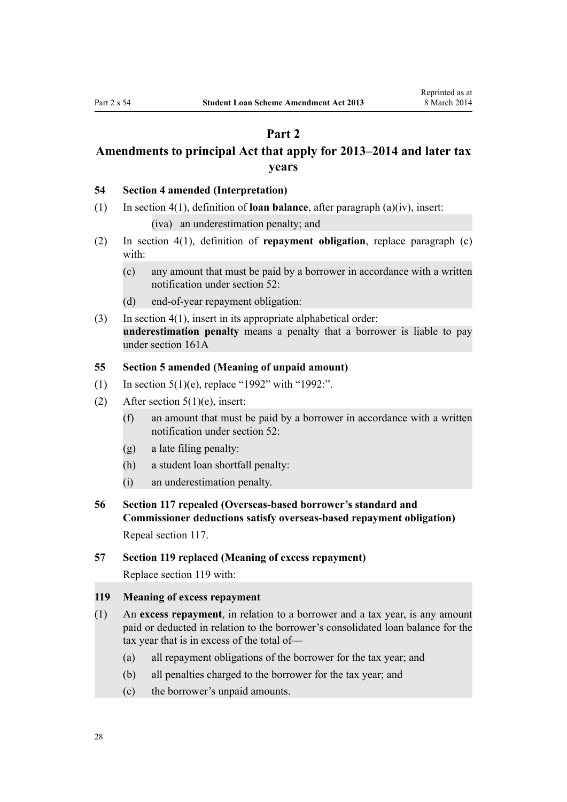# **Part 2**

# <span id="page-27-0"></span>**Amendments to principal Act that apply for 2013–2014 and later tax years**

#### **54 Section 4 amended (Interpretation)**

(1) In [section 4\(1\)](http://prd-lgnz-nlb.prd.pco.net.nz/pdflink.aspx?id=DLM3179936), definition of **loan balance**, after paragraph (a)(iv), insert:

(iva) an underestimation penalty; and

- (2) In [section 4\(1\),](http://prd-lgnz-nlb.prd.pco.net.nz/pdflink.aspx?id=DLM3179936) definition of **repayment obligation**, replace paragraph (c) with:
	- (c) any amount that must be paid by a borrower in accordance with a written notification under section 52:
	- (d) end-of-year repayment obligation:
- (3) In [section 4\(1\)](http://prd-lgnz-nlb.prd.pco.net.nz/pdflink.aspx?id=DLM3179936), insert in its appropriate alphabetical order: **underestimation penalty** means a penalty that a borrower is liable to pay under section 161A

#### **55 Section 5 amended (Meaning of unpaid amount)**

- (1) In [section 5\(1\)\(e\)](http://prd-lgnz-nlb.prd.pco.net.nz/pdflink.aspx?id=DLM3885511), replace "1992" with "1992:".
- (2) After [section 5\(1\)\(e\),](http://prd-lgnz-nlb.prd.pco.net.nz/pdflink.aspx?id=DLM3885511) insert:
	- (f) an amount that must be paid by a borrower in accordance with a written notification under section 52:
	- (g) a late filing penalty:
	- (h) a student loan shortfall penalty:
	- (i) an underestimation penalty.
- **56 Section 117 repealed (Overseas-based borrower's standard and Commissioner deductions satisfy overseas-based repayment obligation)** Repeal [section 117](http://prd-lgnz-nlb.prd.pco.net.nz/pdflink.aspx?id=DLM3180263).

#### **57 Section 119 replaced (Meaning of excess repayment)**

Replace [section 119](http://prd-lgnz-nlb.prd.pco.net.nz/pdflink.aspx?id=DLM3885557) with:

#### **119 Meaning of excess repayment**

- (1) An **excess repayment**, in relation to a borrower and a tax year, is any amount paid or deducted in relation to the borrower's consolidated loan balance for the tax year that is in excess of the total of—
	- (a) all repayment obligations of the borrower for the tax year; and
	- (b) all penalties charged to the borrower for the tax year; and
	- (c) the borrower's unpaid amounts.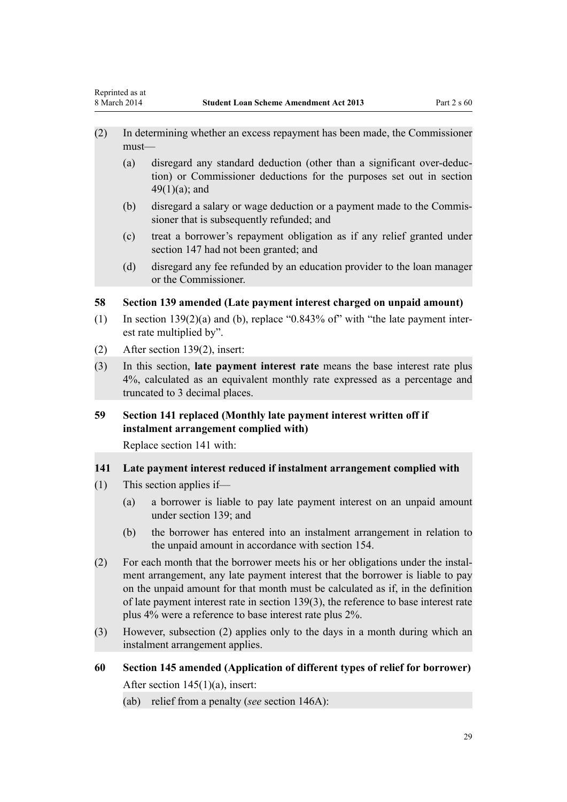- <span id="page-28-0"></span>(2) In determining whether an excess repayment has been made, the Commissioner must—
	- (a) disregard any standard deduction (other than a significant over-deduction) or Commissioner deductions for the purposes set out in section  $49(1)(a)$ ; and
	- (b) disregard a salary or wage deduction or a payment made to the Commissioner that is subsequently refunded; and
	- (c) treat a borrower's repayment obligation as if any relief granted under section 147 had not been granted; and
	- (d) disregard any fee refunded by an education provider to the loan manager or the Commissioner.

## **58 Section 139 amended (Late payment interest charged on unpaid amount)**

- (1) In section  $139(2)(a)$  and (b), replace "0.843% of" with "the late payment interest rate multiplied by".
- (2) After [section 139\(2\)](http://prd-lgnz-nlb.prd.pco.net.nz/pdflink.aspx?id=DLM3885565), insert:
- (3) In this section, **late payment interest rate** means the base interest rate plus 4%, calculated as an equivalent monthly rate expressed as a percentage and truncated to 3 decimal places.

# **59 Section 141 replaced (Monthly late payment interest written off if instalment arrangement complied with)**

Replace [section 141](http://prd-lgnz-nlb.prd.pco.net.nz/pdflink.aspx?id=DLM3885567) with:

#### **141 Late payment interest reduced if instalment arrangement complied with**

- (1) This section applies if—
	- (a) a borrower is liable to pay late payment interest on an unpaid amount under section 139; and
	- (b) the borrower has entered into an instalment arrangement in relation to the unpaid amount in accordance with section 154.
- (2) For each month that the borrower meets his or her obligations under the instalment arrangement, any late payment interest that the borrower is liable to pay on the unpaid amount for that month must be calculated as if, in the definition of late payment interest rate in section 139(3), the reference to base interest rate plus 4% were a reference to base interest rate plus 2%.
- (3) However, subsection (2) applies only to the days in a month during which an instalment arrangement applies.

# **60 Section 145 amended (Application of different types of relief for borrower)**

After [section 145\(1\)\(a\)](http://prd-lgnz-nlb.prd.pco.net.nz/pdflink.aspx?id=DLM3180316), insert:

(ab) relief from a penalty (*see* section 146A):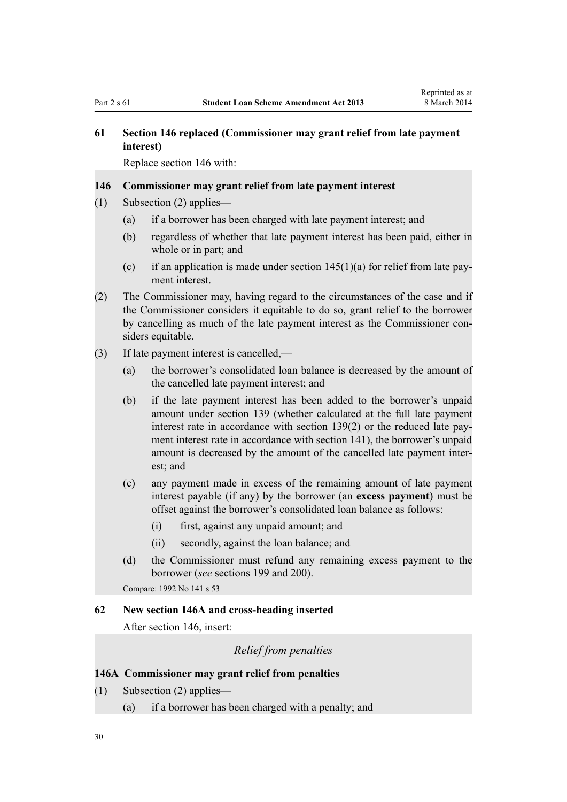# <span id="page-29-0"></span>**61 Section 146 replaced (Commissioner may grant relief from late payment interest)**

Replace [section 146](http://prd-lgnz-nlb.prd.pco.net.nz/pdflink.aspx?id=DLM3830400) with:

#### **146 Commissioner may grant relief from late payment interest**

- (1) Subsection (2) applies—
	- (a) if a borrower has been charged with late payment interest; and
	- (b) regardless of whether that late payment interest has been paid, either in whole or in part; and
	- (c) if an application is made under section  $145(1)(a)$  for relief from late payment interest.
- (2) The Commissioner may, having regard to the circumstances of the case and if the Commissioner considers it equitable to do so, grant relief to the borrower by cancelling as much of the late payment interest as the Commissioner considers equitable.
- (3) If late payment interest is cancelled,—
	- (a) the borrower's consolidated loan balance is decreased by the amount of the cancelled late payment interest; and
	- (b) if the late payment interest has been added to the borrower's unpaid amount under section 139 (whether calculated at the full late payment interest rate in accordance with section 139(2) or the reduced late payment interest rate in accordance with section 141), the borrower's unpaid amount is decreased by the amount of the cancelled late payment interest; and
	- (c) any payment made in excess of the remaining amount of late payment interest payable (if any) by the borrower (an **excess payment**) must be offset against the borrower's consolidated loan balance as follows:
		- (i) first, against any unpaid amount; and
		- (ii) secondly, against the loan balance; and
	- (d) the Commissioner must refund any remaining excess payment to the borrower (*see* sections 199 and 200).

Compare: 1992 No 141 s 53

#### **62 New section 146A and cross-heading inserted**

After [section 146](http://prd-lgnz-nlb.prd.pco.net.nz/pdflink.aspx?id=DLM3830400), insert:

# *Relief from penalties*

#### **146A Commissioner may grant relief from penalties**

- (1) Subsection (2) applies—
	- (a) if a borrower has been charged with a penalty; and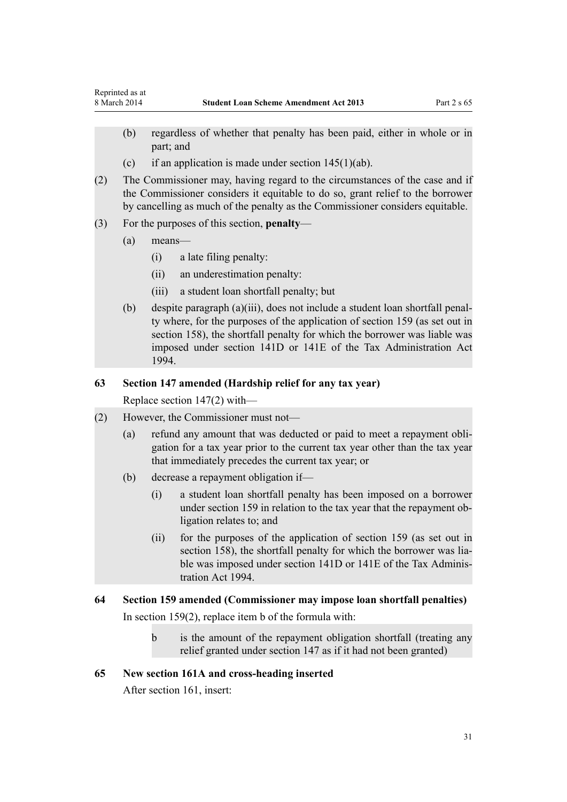- <span id="page-30-0"></span>(b) regardless of whether that penalty has been paid, either in whole or in part; and
- (c) if an application is made under section  $145(1)(ab)$ .
- (2) The Commissioner may, having regard to the circumstances of the case and if the Commissioner considers it equitable to do so, grant relief to the borrower by cancelling as much of the penalty as the Commissioner considers equitable.
- (3) For the purposes of this section, **penalty**
	- (a) means—
		- (i) a late filing penalty:
		- (ii) an underestimation penalty:
		- (iii) a student loan shortfall penalty; but
	- (b) despite paragraph (a)(iii), does not include a student loan shortfall penalty where, for the purposes of the application of section 159 (as set out in section 158), the shortfall penalty for which the borrower was liable was imposed under section 141D or 141E of the Tax Administration Act 1994.

# **63 Section 147 amended (Hardship relief for any tax year)**

Replace [section 147\(2](http://prd-lgnz-nlb.prd.pco.net.nz/pdflink.aspx?id=DLM2543900)) with—

- (2) However, the Commissioner must not—
	- (a) refund any amount that was deducted or paid to meet a repayment obligation for a tax year prior to the current tax year other than the tax year that immediately precedes the current tax year; or
	- (b) decrease a repayment obligation if—
		- (i) a student loan shortfall penalty has been imposed on a borrower under section 159 in relation to the tax year that the repayment obligation relates to; and
		- (ii) for the purposes of the application of section 159 (as set out in section 158), the shortfall penalty for which the borrower was liable was imposed under section 141D or 141E of the Tax Administration Act 1994.

## **64 Section 159 amended (Commissioner may impose loan shortfall penalties)**

In section  $159(2)$ , replace item b of the formula with:

b is the amount of the repayment obligation shortfall (treating any relief granted under section 147 as if it had not been granted)

## **65 New section 161A and cross-heading inserted**

After [section 161](http://prd-lgnz-nlb.prd.pco.net.nz/pdflink.aspx?id=DLM3180347), insert: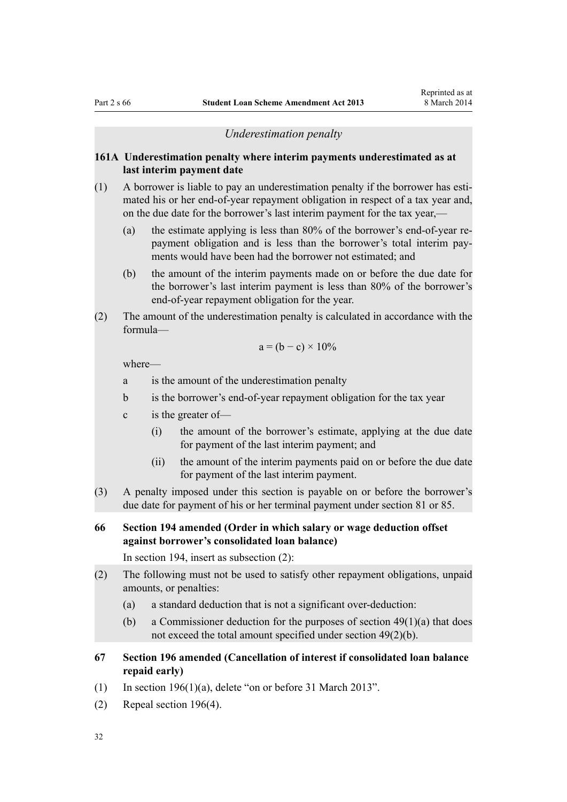#### *Underestimation penalty*

#### <span id="page-31-0"></span>**161A Underestimation penalty where interim payments underestimated as at last interim payment date**

- (1) A borrower is liable to pay an underestimation penalty if the borrower has estimated his or her end-of-year repayment obligation in respect of a tax year and, on the due date for the borrower's last interim payment for the tax year,—
	- (a) the estimate applying is less than 80% of the borrower's end-of-year repayment obligation and is less than the borrower's total interim payments would have been had the borrower not estimated; and
	- (b) the amount of the interim payments made on or before the due date for the borrower's last interim payment is less than 80% of the borrower's end-of-year repayment obligation for the year.
- (2) The amount of the underestimation penalty is calculated in accordance with the formula—

$$
a = (b - c) \times 10\%
$$

where—

a is the amount of the underestimation penalty

- b is the borrower's end-of-year repayment obligation for the tax year
- c is the greater of—
	- (i) the amount of the borrower's estimate, applying at the due date for payment of the last interim payment; and
	- (ii) the amount of the interim payments paid on or before the due date for payment of the last interim payment.
- (3) A penalty imposed under this section is payable on or before the borrower's due date for payment of his or her terminal payment under section 81 or 85.

# **66 Section 194 amended (Order in which salary or wage deduction offset against borrower's consolidated loan balance)**

In [section 194](http://prd-lgnz-nlb.prd.pco.net.nz/pdflink.aspx?id=DLM3885570), insert as subsection (2):

- (2) The following must not be used to satisfy other repayment obligations, unpaid amounts, or penalties:
	- (a) a standard deduction that is not a significant over-deduction:
	- (b) a Commissioner deduction for the purposes of section  $49(1)(a)$  that does not exceed the total amount specified under section 49(2)(b).
- **67 Section 196 amended (Cancellation of interest if consolidated loan balance repaid early)**
- (1) In section  $196(1)(a)$ , delete "on or before 31 March 2013".
- (2) Repeal [section 196\(4\)](http://prd-lgnz-nlb.prd.pco.net.nz/pdflink.aspx?id=DLM3180403).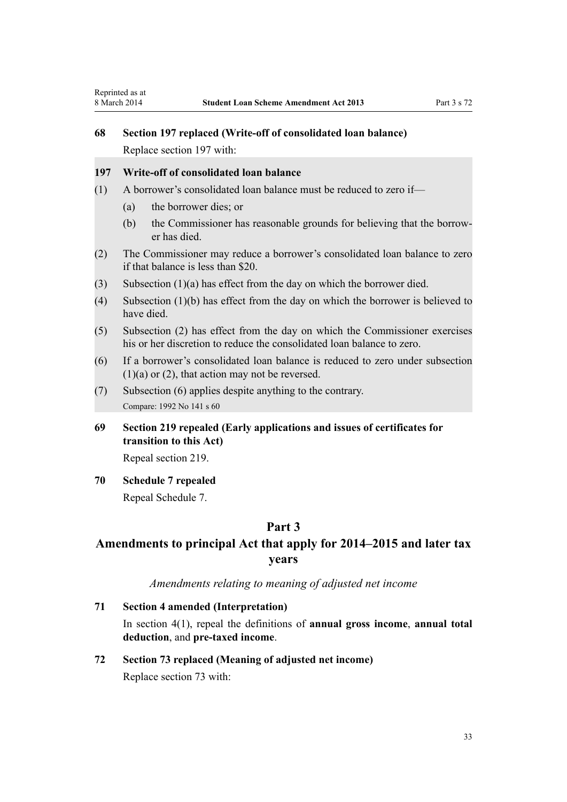# <span id="page-32-0"></span>**68 Section 197 replaced (Write-off of consolidated loan balance)**

Replace [section 197](http://prd-lgnz-nlb.prd.pco.net.nz/pdflink.aspx?id=DLM3180405) with:

# **197 Write-off of consolidated loan balance**

- (1) A borrower's consolidated loan balance must be reduced to zero if—
	- (a) the borrower dies; or
	- (b) the Commissioner has reasonable grounds for believing that the borrower has died.
- (2) The Commissioner may reduce a borrower's consolidated loan balance to zero if that balance is less than \$20.
- (3) Subsection (1)(a) has effect from the day on which the borrower died.
- (4) Subsection (1)(b) has effect from the day on which the borrower is believed to have died.
- (5) Subsection (2) has effect from the day on which the Commissioner exercises his or her discretion to reduce the consolidated loan balance to zero.
- (6) If a borrower's consolidated loan balance is reduced to zero under subsection  $(1)(a)$  or  $(2)$ , that action may not be reversed.
- (7) Subsection (6) applies despite anything to the contrary. Compare: 1992 No 141 s 60
- **69 Section 219 repealed (Early applications and issues of certificates for transition to this Act)**

Repeal [section 219.](http://prd-lgnz-nlb.prd.pco.net.nz/pdflink.aspx?id=DLM3180442)

**70 Schedule 7 repealed**

Repeal [Schedule 7.](http://prd-lgnz-nlb.prd.pco.net.nz/pdflink.aspx?id=DLM3885577)

# **Part 3**

# **Amendments to principal Act that apply for 2014–2015 and later tax years**

# *Amendments relating to meaning of adjusted net income*

**71 Section 4 amended (Interpretation)**

In [section 4\(1\)](http://prd-lgnz-nlb.prd.pco.net.nz/pdflink.aspx?id=DLM3179936), repeal the definitions of **annual gross income**, **annual total deduction**, and **pre-taxed income**.

# **72 Section 73 replaced (Meaning of adjusted net income)**

Replace [section 73](http://prd-lgnz-nlb.prd.pco.net.nz/pdflink.aspx?id=DLM3180163) with: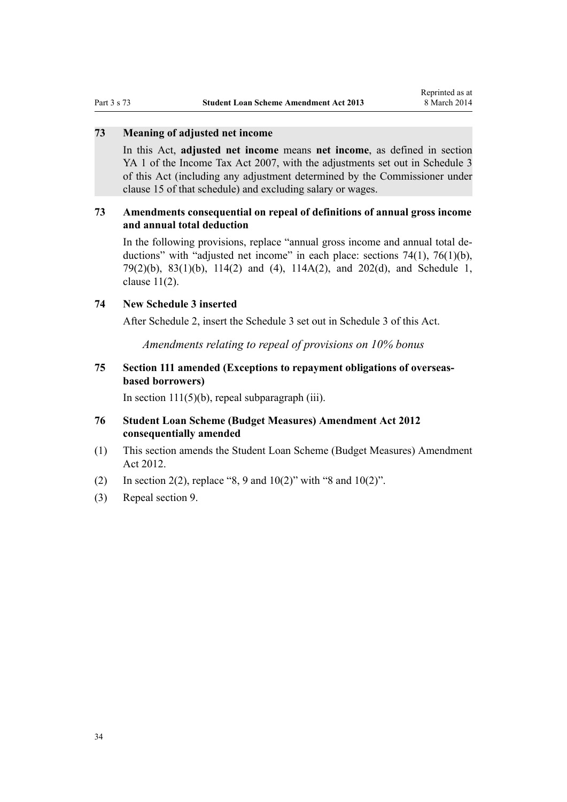### <span id="page-33-0"></span>**73 Meaning of adjusted net income**

In this Act, **adjusted net income** means **net income**, as defined in section YA 1 of the Income Tax Act 2007, with the adjustments set out in Schedule 3 of this Act (including any adjustment determined by the Commissioner under clause 15 of that schedule) and excluding salary or wages.

# **73 Amendments consequential on repeal of definitions of annual gross income and annual total deduction**

In the following provisions, replace "annual gross income and annual total deductions" with "adjusted net income" in each place: [sections 74\(1\),](http://prd-lgnz-nlb.prd.pco.net.nz/pdflink.aspx?id=DLM3180169) [76\(1\)\(b\)](http://prd-lgnz-nlb.prd.pco.net.nz/pdflink.aspx?id=DLM3180171), [79\(2\)\(b\),](http://prd-lgnz-nlb.prd.pco.net.nz/pdflink.aspx?id=DLM3180178) [83\(1\)\(b\),](http://prd-lgnz-nlb.prd.pco.net.nz/pdflink.aspx?id=DLM3885540) [114\(2\) and \(4\),](http://prd-lgnz-nlb.prd.pco.net.nz/pdflink.aspx?id=DLM3180260) [114A\(2\)](http://prd-lgnz-nlb.prd.pco.net.nz/pdflink.aspx?id=DLM4425766), and [202\(d\)](http://prd-lgnz-nlb.prd.pco.net.nz/pdflink.aspx?id=DLM3180411), and [Schedule 1](http://prd-lgnz-nlb.prd.pco.net.nz/pdflink.aspx?id=DLM3180450), [clause 11\(2\)](http://prd-lgnz-nlb.prd.pco.net.nz/pdflink.aspx?id=DLM4428937).

#### **74 New Schedule 3 inserted**

After [Schedule 2](http://prd-lgnz-nlb.prd.pco.net.nz/pdflink.aspx?id=DLM3180465), insert the Schedule 3 set out in [Schedule 3](#page-38-0) of this Act.

*Amendments relating to repeal of provisions on 10% bonus*

# **75 Section 111 amended (Exceptions to repayment obligations of overseasbased borrowers)**

In section  $111(5)(b)$ , repeal subparagraph (iii).

# **76 Student Loan Scheme (Budget Measures) Amendment Act 2012 consequentially amended**

- (1) This section amends the [Student Loan Scheme \(Budget Measures\) Amendment](http://prd-lgnz-nlb.prd.pco.net.nz/pdflink.aspx?id=DLM4489603) [Act 2012.](http://prd-lgnz-nlb.prd.pco.net.nz/pdflink.aspx?id=DLM4489603)
- (2) In [section 2\(2\)](http://prd-lgnz-nlb.prd.pco.net.nz/pdflink.aspx?id=DLM4489601), replace "8, 9 and  $10(2)$ " with "8 and  $10(2)$ ".
- (3) Repeal [section 9](http://prd-lgnz-nlb.prd.pco.net.nz/pdflink.aspx?id=DLM4489614).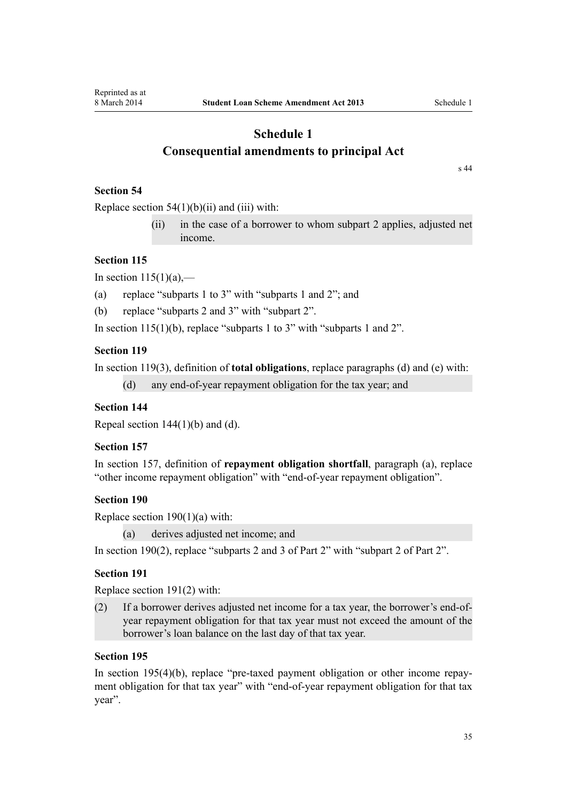# <span id="page-34-0"></span>**Schedule 1 Consequential amendments to principal Act**

[s 44](#page-24-0)

# **Section 54**

Replace section  $54(1)(b)(ii)$  and (iii) with:

(ii) in the case of a borrower to whom subpart 2 applies, adjusted net income.

## **Section 115**

In section  $115(1)(a)$ ,—

(a) replace "subparts 1 to 3" with "subparts 1 and 2"; and

(b) replace "subparts 2 and 3" with "subpart 2".

In section  $115(1)(b)$ , replace "subparts 1 to 3" with "subparts 1 and 2".

## **Section 119**

In [section 119\(3\)](http://prd-lgnz-nlb.prd.pco.net.nz/pdflink.aspx?id=DLM3885557), definition of **total obligations**, replace paragraphs (d) and (e) with:

```
(d) any end-of-year repayment obligation for the tax year; and
```
# **Section 144**

Repeal section  $144(1)(b)$  and (d).

# **Section 157**

In [section 157](http://prd-lgnz-nlb.prd.pco.net.nz/pdflink.aspx?id=DLM3180335), definition of **repayment obligation shortfall**, paragraph (a), replace "other income repayment obligation" with "end-of-year repayment obligation".

#### **Section 190**

Replace section  $190(1)(a)$  with:

(a) derives adjusted net income; and

In [section 190\(2\),](http://prd-lgnz-nlb.prd.pco.net.nz/pdflink.aspx?id=DLM3180382) replace "subparts 2 and 3 of Part 2" with "subpart 2 of Part 2".

# **Section 191**

Replace [section 191\(2\)](http://prd-lgnz-nlb.prd.pco.net.nz/pdflink.aspx?id=DLM3180385) with:

(2) If a borrower derives adjusted net income for a tax year, the borrower's end-ofyear repayment obligation for that tax year must not exceed the amount of the borrower's loan balance on the last day of that tax year.

### **Section 195**

In [section 195\(4\)\(b\)](http://prd-lgnz-nlb.prd.pco.net.nz/pdflink.aspx?id=DLM3828400), replace "pre-taxed payment obligation or other income repayment obligation for that tax year" with "end-of-year repayment obligation for that tax year".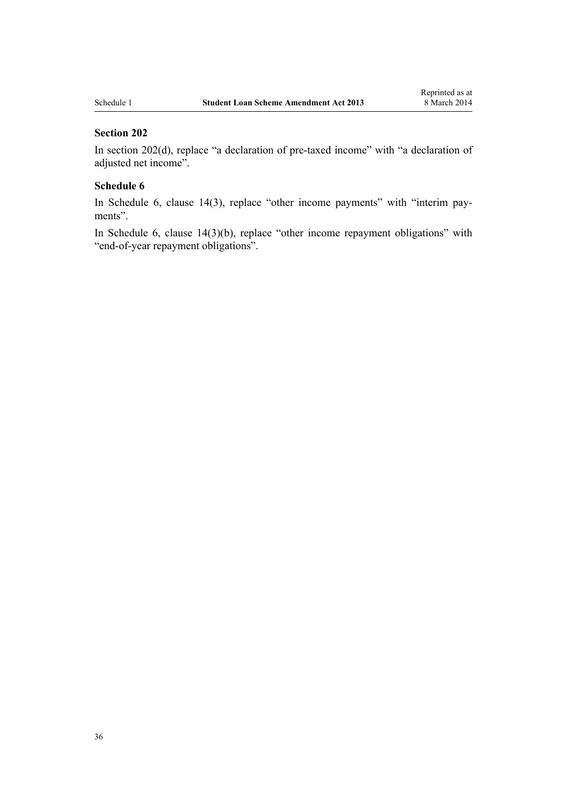#### **Section 202**

In [section 202\(d](http://prd-lgnz-nlb.prd.pco.net.nz/pdflink.aspx?id=DLM3180411)), replace "a declaration of pre-taxed income" with "a declaration of adjusted net income".

# **Schedule 6**

In [Schedule 6,](http://prd-lgnz-nlb.prd.pco.net.nz/pdflink.aspx?id=DLM3180475) [clause 14\(3\),](http://prd-lgnz-nlb.prd.pco.net.nz/pdflink.aspx?id=DLM3885574) replace "other income payments" with "interim payments".

In [Schedule 6,](http://prd-lgnz-nlb.prd.pco.net.nz/pdflink.aspx?id=DLM3180475) [clause 14\(3\)\(b\),](http://prd-lgnz-nlb.prd.pco.net.nz/pdflink.aspx?id=DLM3885574) replace "other income repayment obligations" with "end-of-year repayment obligations".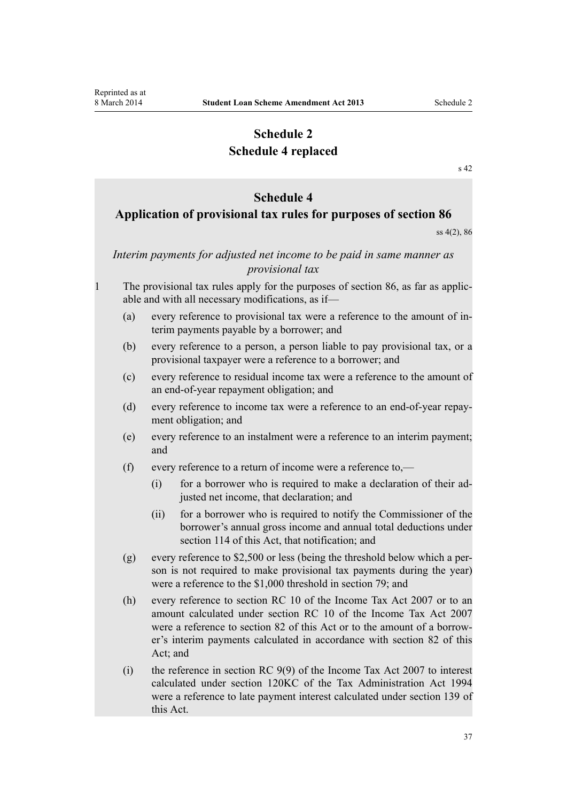# **Schedule 2 Schedule 4 replaced**

[s 42](#page-22-0)

#### **Schedule 4**

# <span id="page-36-0"></span>**Application of provisional tax rules for purposes of section 86**

ss 4(2), 86

# *Interim payments for adjusted net income to be paid in same manner as provisional tax*

- 1 The provisional tax rules apply for the purposes of section 86, as far as applicable and with all necessary modifications, as if—
	- (a) every reference to provisional tax were a reference to the amount of interim payments payable by a borrower; and
	- (b) every reference to a person, a person liable to pay provisional tax, or a provisional taxpayer were a reference to a borrower; and
	- (c) every reference to residual income tax were a reference to the amount of an end-of-year repayment obligation; and
	- (d) every reference to income tax were a reference to an end-of-year repayment obligation; and
	- (e) every reference to an instalment were a reference to an interim payment; and
	- (f) every reference to a return of income were a reference to,—
		- (i) for a borrower who is required to make a declaration of their adjusted net income, that declaration; and
		- (ii) for a borrower who is required to notify the Commissioner of the borrower's annual gross income and annual total deductions under section 114 of this Act, that notification; and
	- (g) every reference to \$2,500 or less (being the threshold below which a person is not required to make provisional tax payments during the year) were a reference to the \$1,000 threshold in section 79; and
	- (h) every reference to section RC 10 of the Income Tax Act 2007 or to an amount calculated under section RC 10 of the Income Tax Act 2007 were a reference to section 82 of this Act or to the amount of a borrower's interim payments calculated in accordance with section 82 of this Act; and
	- (i) the reference in section RC 9(9) of the Income Tax Act 2007 to interest calculated under section 120KC of the Tax Administration Act 1994 were a reference to late payment interest calculated under section 139 of this Act.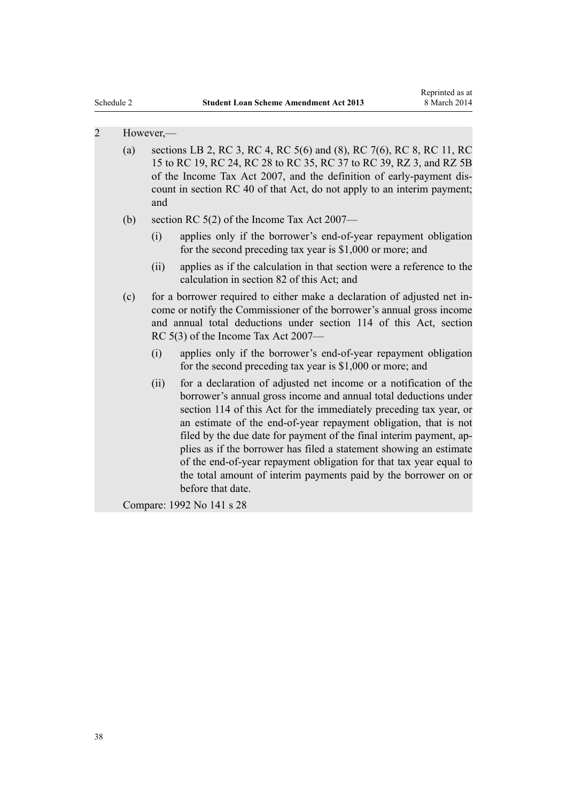## 2 However,—

- (a) sections LB 2, RC 3, RC 4, RC 5(6) and (8), RC 7(6), RC 8, RC 11, RC 15 to RC 19, RC 24, RC 28 to RC 35, RC 37 to RC 39, RZ 3, and RZ 5B of the Income Tax Act 2007, and the definition of early-payment discount in section RC 40 of that Act, do not apply to an interim payment; and
- (b) section RC 5(2) of the Income Tax Act 2007—
	- (i) applies only if the borrower's end-of-year repayment obligation for the second preceding tax year is \$1,000 or more; and
	- (ii) applies as if the calculation in that section were a reference to the calculation in section 82 of this Act; and
- (c) for a borrower required to either make a declaration of adjusted net income or notify the Commissioner of the borrower's annual gross income and annual total deductions under section 114 of this Act, section RC 5(3) of the Income Tax Act 2007—
	- (i) applies only if the borrower's end-of-year repayment obligation for the second preceding tax year is \$1,000 or more; and
	- (ii) for a declaration of adjusted net income or a notification of the borrower's annual gross income and annual total deductions under section 114 of this Act for the immediately preceding tax year, or an estimate of the end-of-year repayment obligation, that is not filed by the due date for payment of the final interim payment, applies as if the borrower has filed a statement showing an estimate of the end-of-year repayment obligation for that tax year equal to the total amount of interim payments paid by the borrower on or before that date.

Compare: 1992 No 141 s 28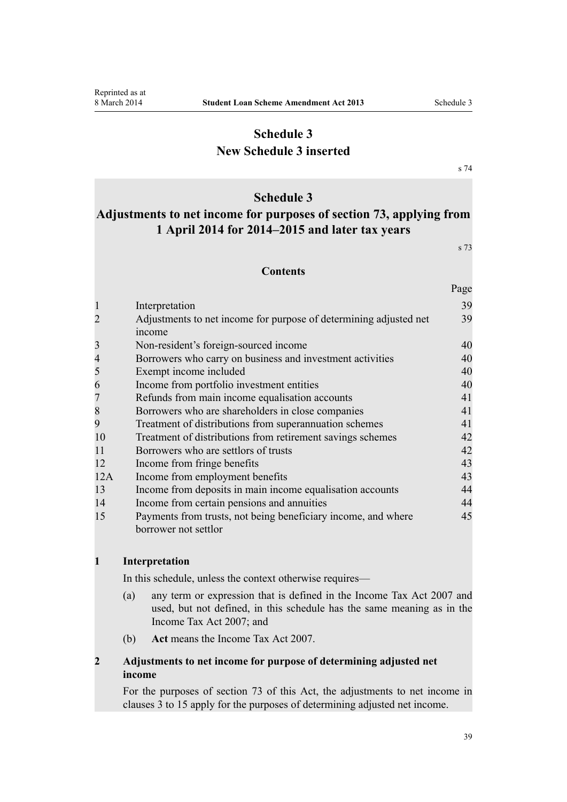# **Schedule 3 New Schedule 3 inserted**

[s 74](#page-33-0)

# **Schedule 3**

# <span id="page-38-0"></span>**Adjustments to net income for purposes of section 73, applying from 1 April 2014 for 2014–2015 and later tax years**

s 73

Page

#### **Contents**

|                | Interpretation                                                                        | 39 |
|----------------|---------------------------------------------------------------------------------------|----|
| $\overline{2}$ | Adjustments to net income for purpose of determining adjusted net<br>income           | 39 |
| 3              | Non-resident's foreign-sourced income                                                 | 40 |
| 4              | Borrowers who carry on business and investment activities                             | 40 |
| 5              | Exempt income included                                                                | 40 |
| 6              | Income from portfolio investment entities                                             | 40 |
| 7              | Refunds from main income equalisation accounts                                        | 41 |
| 8              | Borrowers who are shareholders in close companies                                     | 41 |
| 9              | Treatment of distributions from superannuation schemes                                | 41 |
| 10             | Treatment of distributions from retirement savings schemes                            | 42 |
| 11             | Borrowers who are settlors of trusts                                                  | 42 |
| 12             | Income from fringe benefits                                                           | 43 |
| 12A            | Income from employment benefits                                                       | 43 |
| 13             | Income from deposits in main income equalisation accounts                             | 44 |
| 14             | Income from certain pensions and annuities                                            | 44 |
| 15             | Payments from trusts, not being beneficiary income, and where<br>borrower not settlor | 45 |

#### **1 Interpretation**

In this schedule, unless the context otherwise requires—

- (a) any term or expression that is defined in the Income Tax Act 2007 and used, but not defined, in this schedule has the same meaning as in the Income Tax Act 2007; and
- (b) **Act** means the Income Tax Act 2007.

# **2 Adjustments to net income for purpose of determining adjusted net income**

For the purposes of section 73 of this Act, the adjustments to net income in clauses 3 to 15 apply for the purposes of determining adjusted net income.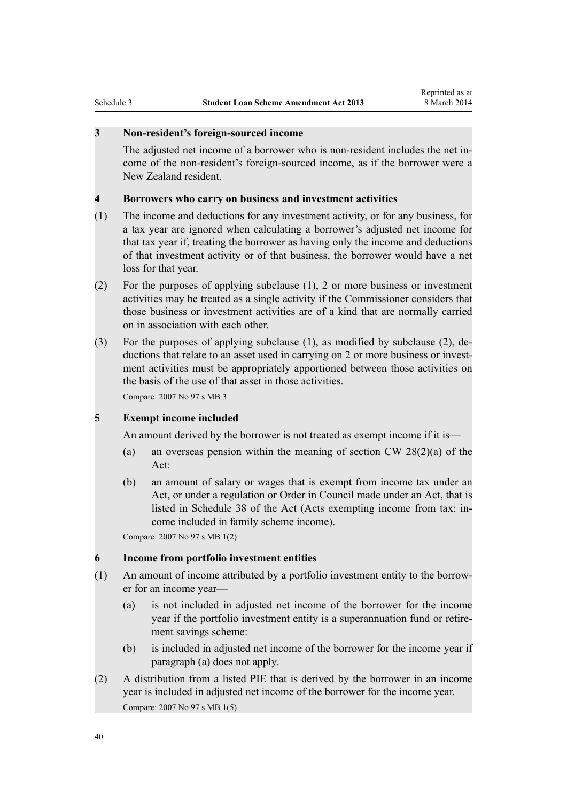#### <span id="page-39-0"></span>**3 Non-resident's foreign-sourced income**

The adjusted net income of a borrower who is non-resident includes the net income of the non-resident's foreign-sourced income, as if the borrower were a New Zealand resident.

#### **4 Borrowers who carry on business and investment activities**

- (1) The income and deductions for any investment activity, or for any business, for a tax year are ignored when calculating a borrower's adjusted net income for that tax year if, treating the borrower as having only the income and deductions of that investment activity or of that business, the borrower would have a net loss for that year.
- (2) For the purposes of applying subclause (1), 2 or more business or investment activities may be treated as a single activity if the Commissioner considers that those business or investment activities are of a kind that are normally carried on in association with each other.
- (3) For the purposes of applying subclause (1), as modified by subclause (2), deductions that relate to an asset used in carrying on 2 or more business or investment activities must be appropriately apportioned between those activities on the basis of the use of that asset in those activities.

Compare: 2007 No 97 s MB 3

#### **5 Exempt income included**

An amount derived by the borrower is not treated as exempt income if it is—

- (a) an overseas pension within the meaning of section CW  $28(2)(a)$  of the Act:
- (b) an amount of salary or wages that is exempt from income tax under an Act, or under a regulation or Order in Council made under an Act, that is listed in Schedule 38 of the Act (Acts exempting income from tax: income included in family scheme income).

Compare: 2007 No 97 s MB 1(2)

#### **6 Income from portfolio investment entities**

- (1) An amount of income attributed by a portfolio investment entity to the borrower for an income year—
	- (a) is not included in adjusted net income of the borrower for the income year if the portfolio investment entity is a superannuation fund or retirement savings scheme:
	- (b) is included in adjusted net income of the borrower for the income year if paragraph (a) does not apply.
- (2) A distribution from a listed PIE that is derived by the borrower in an income year is included in adjusted net income of the borrower for the income year. Compare: 2007 No 97 s MB 1(5)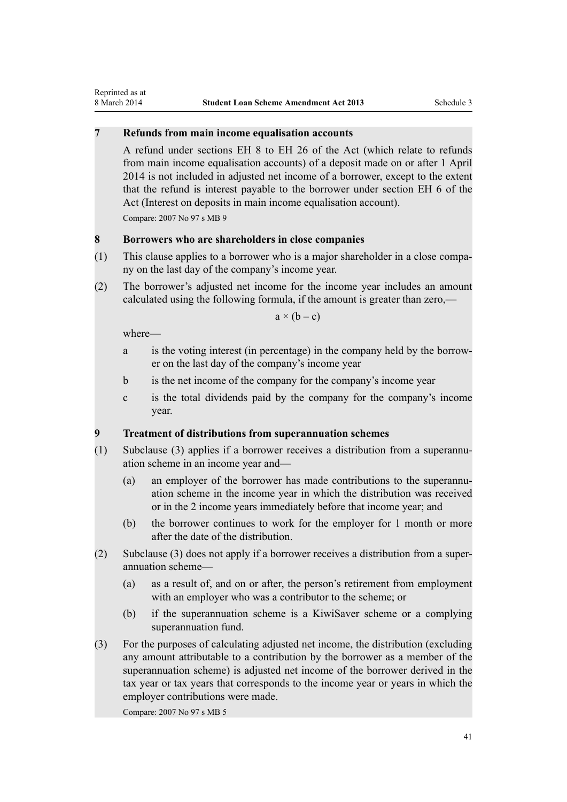# <span id="page-40-0"></span>**7 Refunds from main income equalisation accounts**

A refund under sections EH 8 to EH 26 of the Act (which relate to refunds from main income equalisation accounts) of a deposit made on or after 1 April 2014 is not included in adjusted net income of a borrower, except to the extent that the refund is interest payable to the borrower under section EH 6 of the Act (Interest on deposits in main income equalisation account). Compare: 2007 No 97 s MB 9

#### **8 Borrowers who are shareholders in close companies**

- (1) This clause applies to a borrower who is a major shareholder in a close company on the last day of the company's income year.
- (2) The borrower's adjusted net income for the income year includes an amount calculated using the following formula, if the amount is greater than zero,—

 $a \times (b - c)$ 

where—

- a is the voting interest (in percentage) in the company held by the borrower on the last day of the company's income year
- b is the net income of the company for the company's income year
- c is the total dividends paid by the company for the company's income year.

#### **9 Treatment of distributions from superannuation schemes**

- (1) Subclause (3) applies if a borrower receives a distribution from a superannuation scheme in an income year and—
	- (a) an employer of the borrower has made contributions to the superannuation scheme in the income year in which the distribution was received or in the 2 income years immediately before that income year; and
	- (b) the borrower continues to work for the employer for 1 month or more after the date of the distribution.
- (2) Subclause (3) does not apply if a borrower receives a distribution from a superannuation scheme—
	- (a) as a result of, and on or after, the person's retirement from employment with an employer who was a contributor to the scheme; or
	- (b) if the superannuation scheme is a KiwiSaver scheme or a complying superannuation fund.
- (3) For the purposes of calculating adjusted net income, the distribution (excluding any amount attributable to a contribution by the borrower as a member of the superannuation scheme) is adjusted net income of the borrower derived in the tax year or tax years that corresponds to the income year or years in which the employer contributions were made.

Compare: 2007 No 97 s MB 5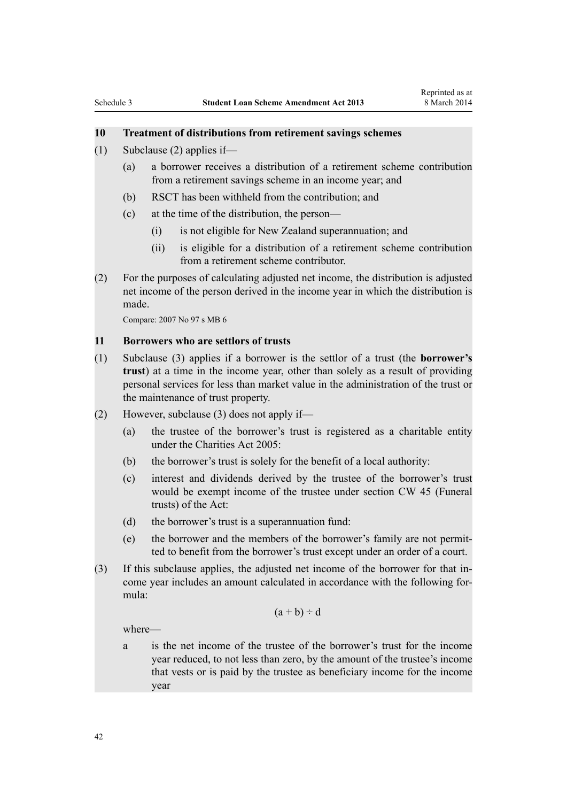# <span id="page-41-0"></span>**10 Treatment of distributions from retirement savings schemes**

- (1) Subclause (2) applies if—
	- (a) a borrower receives a distribution of a retirement scheme contribution from a retirement savings scheme in an income year; and
	- (b) RSCT has been withheld from the contribution; and
	- (c) at the time of the distribution, the person—
		- (i) is not eligible for New Zealand superannuation; and
		- (ii) is eligible for a distribution of a retirement scheme contribution from a retirement scheme contributor.
- (2) For the purposes of calculating adjusted net income, the distribution is adjusted net income of the person derived in the income year in which the distribution is made.

Compare: 2007 No 97 s MB 6

#### **11 Borrowers who are settlors of trusts**

- (1) Subclause (3) applies if a borrower is the settlor of a trust (the **borrower's trust**) at a time in the income year, other than solely as a result of providing personal services for less than market value in the administration of the trust or the maintenance of trust property.
- (2) However, subclause (3) does not apply if—
	- (a) the trustee of the borrower's trust is registered as a charitable entity under the Charities Act 2005:
	- (b) the borrower's trust is solely for the benefit of a local authority:
	- (c) interest and dividends derived by the trustee of the borrower's trust would be exempt income of the trustee under section CW 45 (Funeral trusts) of the Act:
	- (d) the borrower's trust is a superannuation fund:
	- (e) the borrower and the members of the borrower's family are not permitted to benefit from the borrower's trust except under an order of a court.
- (3) If this subclause applies, the adjusted net income of the borrower for that income year includes an amount calculated in accordance with the following formula:

$$
(a + b) \div d
$$

where—

a is the net income of the trustee of the borrower's trust for the income year reduced, to not less than zero, by the amount of the trustee's income that vests or is paid by the trustee as beneficiary income for the income year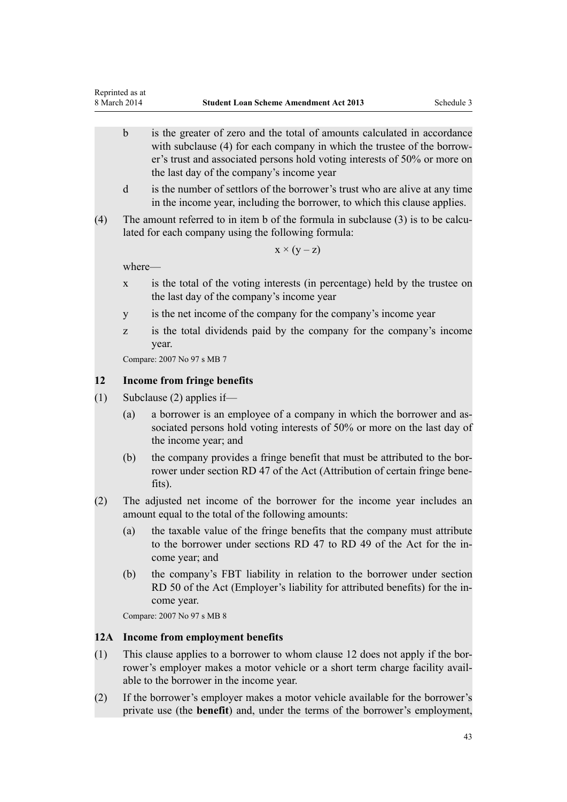- <span id="page-42-0"></span>b is the greater of zero and the total of amounts calculated in accordance with subclause (4) for each company in which the trustee of the borrower's trust and associated persons hold voting interests of 50% or more on the last day of the company's income year
- d is the number of settlors of the borrower's trust who are alive at any time in the income year, including the borrower, to which this clause applies.
- (4) The amount referred to in item b of the formula in subclause (3) is to be calculated for each company using the following formula:

 $x \times (y - z)$ 

where—

- x is the total of the voting interests (in percentage) held by the trustee on the last day of the company's income year
- y is the net income of the company for the company's income year
- z is the total dividends paid by the company for the company's income year.

Compare: 2007 No 97 s MB 7

### **12 Income from fringe benefits**

- (1) Subclause (2) applies if—
	- (a) a borrower is an employee of a company in which the borrower and associated persons hold voting interests of 50% or more on the last day of the income year; and
	- (b) the company provides a fringe benefit that must be attributed to the borrower under section RD 47 of the Act (Attribution of certain fringe benefits).
- (2) The adjusted net income of the borrower for the income year includes an amount equal to the total of the following amounts:
	- (a) the taxable value of the fringe benefits that the company must attribute to the borrower under sections RD 47 to RD 49 of the Act for the income year; and
	- (b) the company's FBT liability in relation to the borrower under section RD 50 of the Act (Employer's liability for attributed benefits) for the income year.

Compare: 2007 No 97 s MB 8

#### **12A Income from employment benefits**

- (1) This clause applies to a borrower to whom clause 12 does not apply if the borrower's employer makes a motor vehicle or a short term charge facility available to the borrower in the income year.
- (2) If the borrower's employer makes a motor vehicle available for the borrower's private use (the **benefit**) and, under the terms of the borrower's employment,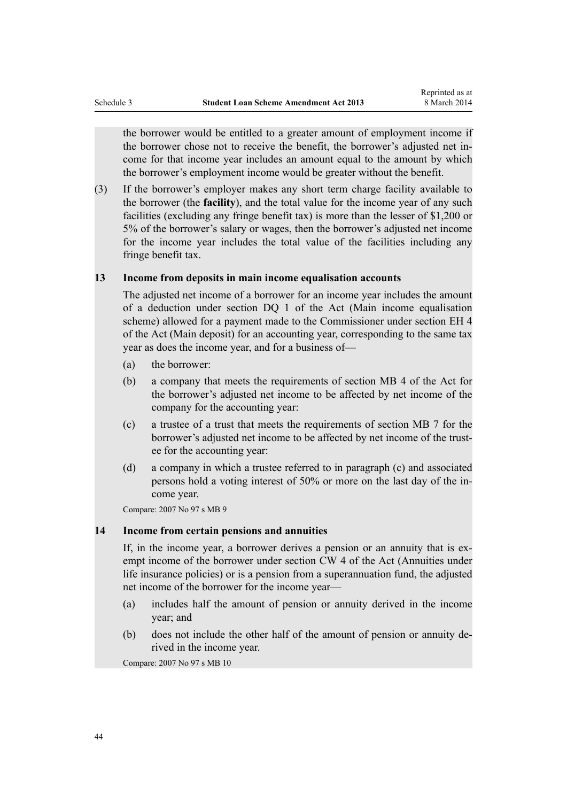<span id="page-43-0"></span>the borrower would be entitled to a greater amount of employment income if the borrower chose not to receive the benefit, the borrower's adjusted net income for that income year includes an amount equal to the amount by which the borrower's employment income would be greater without the benefit.

(3) If the borrower's employer makes any short term charge facility available to the borrower (the **facility**), and the total value for the income year of any such facilities (excluding any fringe benefit tax) is more than the lesser of \$1,200 or 5% of the borrower's salary or wages, then the borrower's adjusted net income for the income year includes the total value of the facilities including any fringe benefit tax.

# **13 Income from deposits in main income equalisation accounts**

The adjusted net income of a borrower for an income year includes the amount of a deduction under section DQ 1 of the Act (Main income equalisation scheme) allowed for a payment made to the Commissioner under section EH 4 of the Act (Main deposit) for an accounting year, corresponding to the same tax year as does the income year, and for a business of—

- (a) the borrower:
- (b) a company that meets the requirements of section MB 4 of the Act for the borrower's adjusted net income to be affected by net income of the company for the accounting year:
- (c) a trustee of a trust that meets the requirements of section MB 7 for the borrower's adjusted net income to be affected by net income of the trustee for the accounting year:
- (d) a company in which a trustee referred to in paragraph (c) and associated persons hold a voting interest of 50% or more on the last day of the income year.

Compare: 2007 No 97 s MB 9

# **14 Income from certain pensions and annuities**

If, in the income year, a borrower derives a pension or an annuity that is exempt income of the borrower under section CW 4 of the Act (Annuities under life insurance policies) or is a pension from a superannuation fund, the adjusted net income of the borrower for the income year—

- (a) includes half the amount of pension or annuity derived in the income year; and
- (b) does not include the other half of the amount of pension or annuity derived in the income year.

Compare: 2007 No 97 s MB 10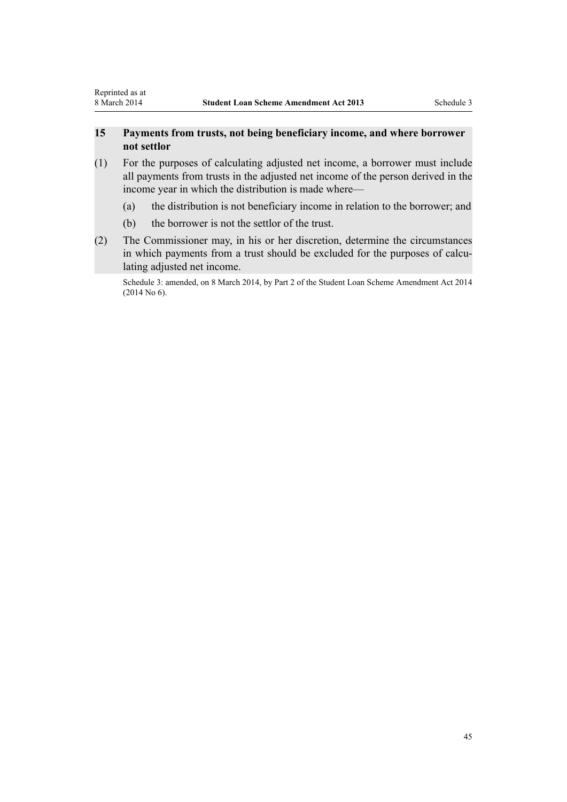# <span id="page-44-0"></span>**15 Payments from trusts, not being beneficiary income, and where borrower not settlor**

- (1) For the purposes of calculating adjusted net income, a borrower must include all payments from trusts in the adjusted net income of the person derived in the income year in which the distribution is made where—
	- (a) the distribution is not beneficiary income in relation to the borrower; and
	- (b) the borrower is not the settlor of the trust.
- (2) The Commissioner may, in his or her discretion, determine the circumstances in which payments from a trust should be excluded for the purposes of calculating adjusted net income.

Schedule 3: amended, on 8 March 2014, by [Part 2](http://prd-lgnz-nlb.prd.pco.net.nz/pdflink.aspx?id=DLM5534943) of the Student Loan Scheme Amendment Act 2014 (2014 No 6).